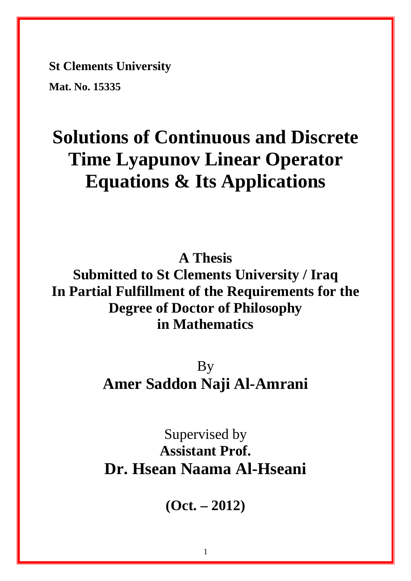**St Clements University** 

**Mat. No. 15335** 

## **Solutions of Continuous and Discrete Time Lyapunov Linear Operator Equations & Its Applications**

**A Thesis** 

**Submitted to St Clements University / Iraq In Partial Fulfillment of the Requirements for the Degree of Doctor of Philosophy in Mathematics** 

> **By Amer Saddon Naji Al-Amrani**

Supervised by **Assistant Prof. Dr. Hsean Naama Al-Hseani** 

**(Oct. – 2012)**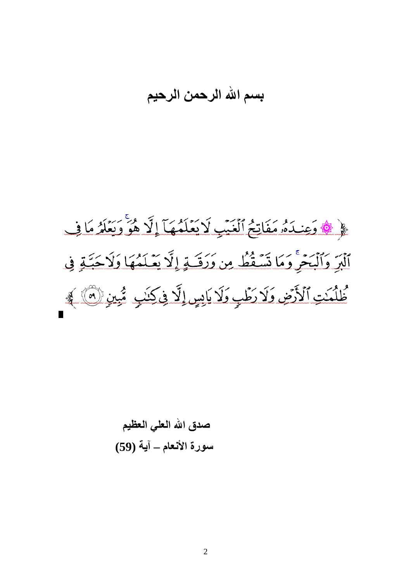## **بسم الله الرحمن الرحيم**



صدق الله العل*ي* العظيم **سورة الأنعام ــ آية (59)**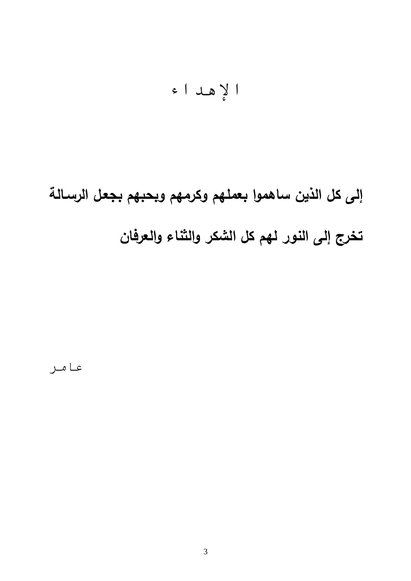$$
|\xi
$$

**إلى كل الذين ساهموا بعملهم وكرمهم وبحبهم بجعـل الرسـالة تخرج إلى النور لهم كل الشكر والثناء والعرفان** 

عامر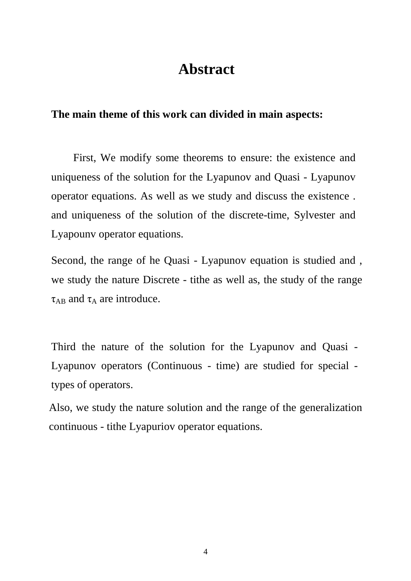### **Abstract**

#### **The main theme of this work can divided in main aspects:**

First, We modify some theorems to ensure: the existence and uniqueness of the solution for the Lyapunov and Quasi - Lyapunov operator equations. As well as we study and discuss the existence . and uniqueness of the solution of the discrete-time, Sylvester and Lyapounv operator equations.

Second, the range of he Quasi - Lyapunov equation is studied and , we study the nature Discrete - tithe as well as, the study of the range  $\tau_{AB}$  and  $\tau_A$  are introduce.

Third the nature of the solution for the Lyapunov and Quasi - Lyapunov operators (Continuous - time) are studied for special types of operators.

Also, we study the nature solution and the range of the generalization continuous - tithe Lyapuriov operator equations.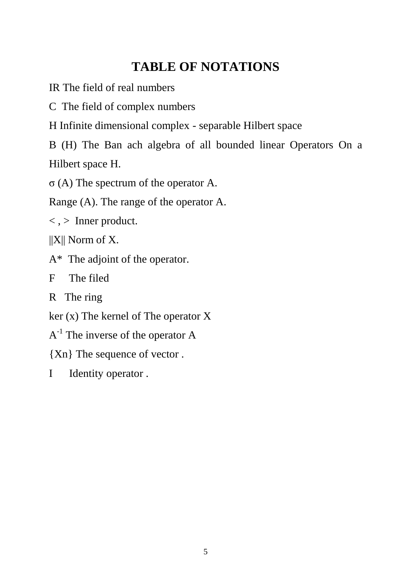## **TABLE OF NOTATIONS**

IR The field of real numbers

C The field of complex numbers

H Infinite dimensional complex - separable Hilbert space

B (H) The Ban ach algebra of all bounded linear Operators On a Hilbert space H.

σ (A) The spectrum of the operator A.

Range (A). The range of the operator A.

 $\langle , \rangle$  Inner product.

 $||X||$  Norm of X.

A\* The adjoint of the operator.

F The filed

R The ring

ker (x) The kernel of The operator X

 $A^{-1}$  The inverse of the operator A

{Xn} The sequence of vector .

I Identity operator .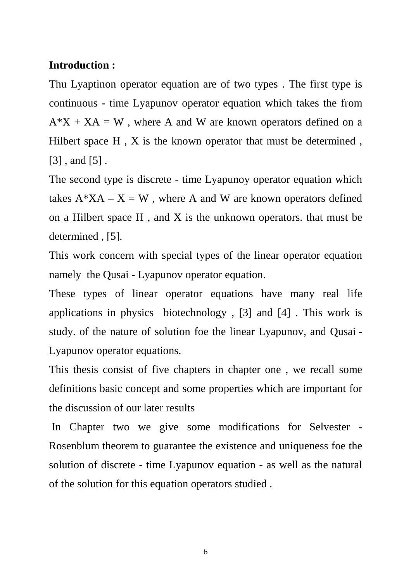#### **Introduction :**

Thu Lyaptinon operator equation are of two types . The first type is continuous - time Lyapunov operator equation which takes the from  $A^*X + XA = W$ , where A and W are known operators defined on a Hilbert space H, X is the known operator that must be determined, [3] , and [5] .

The second type is discrete - time Lyapunoy operator equation which takes  $A^*XA - X = W$ , where A and W are known operators defined on a Hilbert space  $H$ , and  $X$  is the unknown operators. that must be determined, [5].

This work concern with special types of the linear operator equation namely the Qusai - Lyapunov operator equation.

These types of linear operator equations have many real life applications in physics biotechnology , [3] and [4] . This work is study. of the nature of solution foe the linear Lyapunov, and Qusai - Lyapunov operator equations.

This thesis consist of five chapters in chapter one , we recall some definitions basic concept and some properties which are important for the discussion of our later results

 In Chapter two we give some modifications for Selvester - Rosenblum theorem to guarantee the existence and uniqueness foe the solution of discrete - time Lyapunov equation - as well as the natural of the solution for this equation operators studied .

6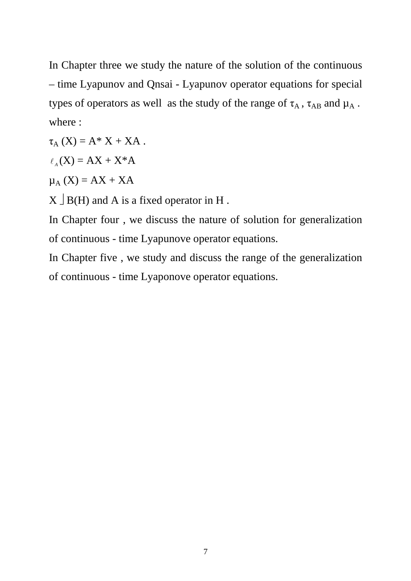In Chapter three we study the nature of the solution of the continuous – time Lyapunov and Qnsai - Lyapunov operator equations for special types of operators as well as the study of the range of  $\tau_A$ ,  $\tau_{AB}$  and  $\mu_A$ . where :

 $\tau_A(X) = A^* X + XA$ .

 $\ell_A$ (X) = AX + X\*A

 $\mu_A$  (X) = AX + XA

 $X \cup B(H)$  and A is a fixed operator in H.

In Chapter four , we discuss the nature of solution for generalization of continuous - time Lyapunove operator equations.

In Chapter five , we study and discuss the range of the generalization of continuous - time Lyaponove operator equations.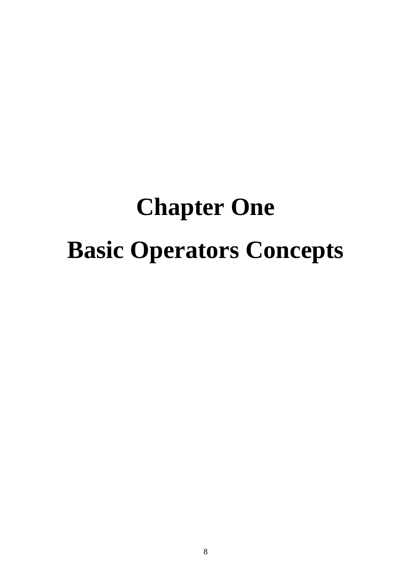## **Chapter One Basic Operators Concepts**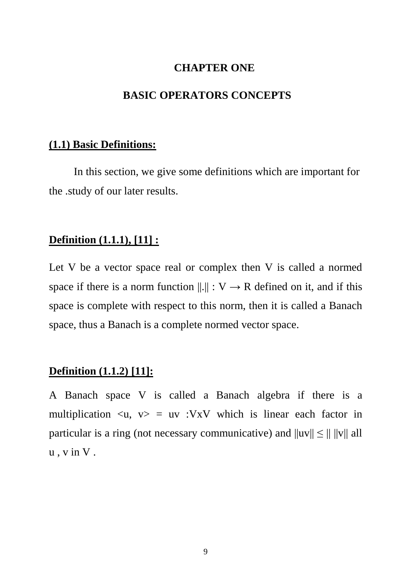#### **CHAPTER ONE**

#### **BASIC OPERATORS CONCEPTS**

#### **(1.1) Basic Definitions:**

 In this section, we give some definitions which are important for the .study of our later results.

#### **Definition (1.1.1), [11] :**

Let V be a vector space real or complex then V is called a normed space if there is a norm function  $||.|| : V \rightarrow R$  defined on it, and if this space is complete with respect to this norm, then it is called a Banach space, thus a Banach is a complete normed vector space.

#### **Definition (1.1.2) [11]:**

A Banach space V is called a Banach algebra if there is a multiplication  $\langle u, v \rangle = uv$  :VxV which is linear each factor in particular is a ring (not necessary communicative) and  $||uv|| \le || ||v||$  all u , v in V .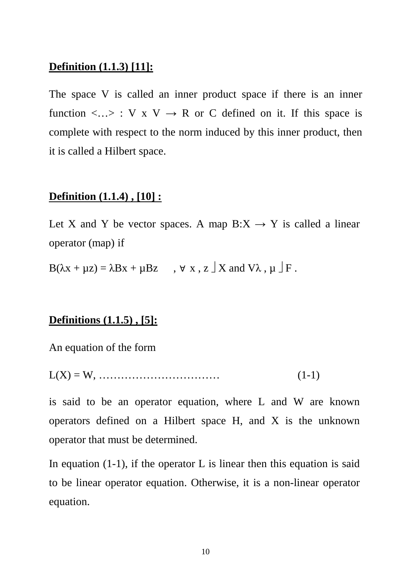#### **Definition (1.1.3) [11]:**

The space V is called an inner product space if there is an inner function  $\langle ... \rangle : V \times V \to R$  or C defined on it. If this space is complete with respect to the norm induced by this inner product, then it is called a Hilbert space.

#### **Definition (1.1.4) , [10] :**

Let X and Y be vector spaces. A map  $B:X \to Y$  is called a linear operator (map) if

 $B(\lambda x + \mu z) = \lambda Bx + \mu Bz$ ,  $\forall$  x, z  $\exists$  X and V $\lambda$ ,  $\mu$   $\exists$  F.

#### **Definitions (1.1.5) , [5]:**

An equation of the form

L(X) = W, …………………………… (1-1)

is said to be an operator equation, where L and W are known operators defined on a Hilbert space H, and X is the unknown operator that must be determined.

In equation  $(1-1)$ , if the operator L is linear then this equation is said to be linear operator equation. Otherwise, it is a non-linear operator equation.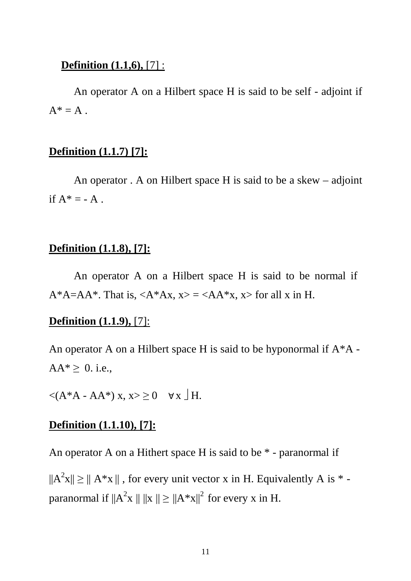#### **Definition (1.1,6),** [7] :

 An operator A on a Hilbert space H is said to be self - adjoint if  $A^* = A$ .

#### **Definition (1.1.7) [7]:**

 An operator . A on Hilbert space H is said to be a skew – adjoint if  $A^* = -A$ .

#### **Definition (1.1.8), [7]:**

 An operator A on a Hilbert space H is said to be normal if  $A^*A=AA^*$ . That is,  $\langle A^*Ax, x\rangle = \langle AA^*x, x\rangle$  for all x in H.

#### **Definition (1.1.9),** [7]:

An operator A on a Hilbert space H is said to be hyponormal if A\*A -  $AA^* \geq 0$ . i.e.,

 $\langle (A^*A - AA^*) x, x \rangle \ge 0 \quad \forall x \downarrow H.$ 

#### **Definition (1.1.10), [7]:**

An operator A on a Hithert space H is said to be \* - paranormal if

 $||A^2x|| \ge ||A^*x||$ , for every unit vector x in H. Equivalently A is  $*$  paranormal if  $||A^2x|| ||x|| \ge ||A^*x||^2$  for every x in H.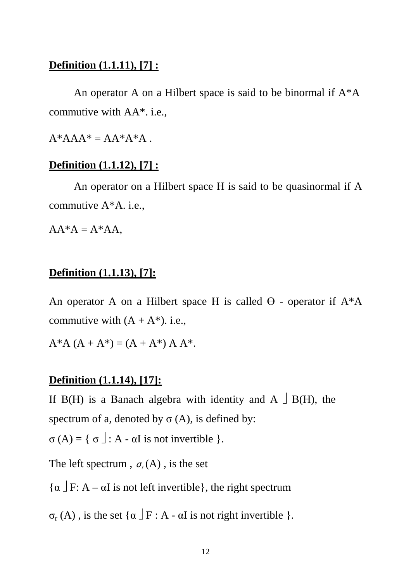#### **Definition (1.1.11), [7] :**

An operator A on a Hilbert space is said to be binormal if  $A^*A$ commutive with AA\*. i.e.,

 $A^*AAA^* = AA^*A^*A$ .

#### **Definition (1.1.12), [7] :**

 An operator on a Hilbert space H is said to be quasinormal if A commutive A\*A. i.e.,

 $AA^*A = A^*AA$ .

#### **Definition (1.1.13), [7]:**

An operator A on a Hilbert space H is called  $\Theta$  - operator if  $A^*A$ commutive with  $(A + A^*)$ , i.e.,

 $A^*A (A + A^*) = (A + A^*) A A^*$ .

#### **Definition (1.1.14), [17]:**

If B(H) is a Banach algebra with identity and A  $\Box$  B(H), the spectrum of a, denoted by  $\sigma(A)$ , is defined by:

 $\sigma(A) = \{ \sigma \mid : A \text{ - } \alpha I \text{ is not invertible } \}.$ 

The left spectrum,  $\sigma_{\ell}(A)$ , is the set

 $\{\alpha \mid F: A - \alpha I \text{ is not left invertible}\},\$  the right spectrum

 $\sigma_r(A)$ , is the set  $\{\alpha \mid F : A - \alpha I \text{ is not right invertible }\}.$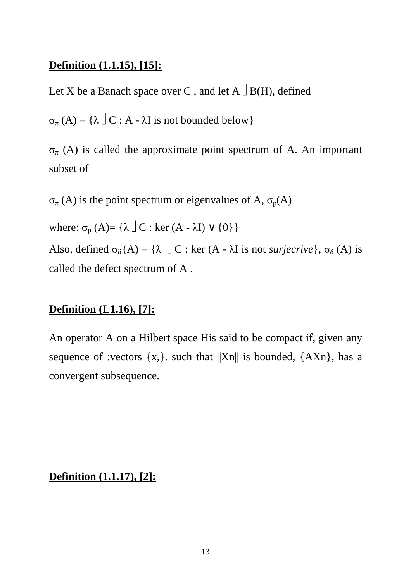#### **Definition (1.1.15), [15]:**

Let X be a Banach space over C, and let  $A \cup B(H)$ , defined

 $\sigma_{\pi}(A) = {\lambda \mid C : A - \lambda I \text{ is not bounded below}}$ 

 $\sigma_{\pi}$  (A) is called the approximate point spectrum of A. An important subset of

 $\sigma_{\pi}$  (A) is the point spectrum or eigenvalues of A,  $\sigma_{p}(A)$ 

where:  $\sigma_{\text{p}}$  (A)= { $\lambda \perp C$  : ker (A -  $\lambda$ I)  $\vee$  {0}}

Also, defined  $\sigma_{\delta}(A) = {\lambda \bigcup C : \text{ker}(A - \lambda I \text{ is not *surjective*}, \sigma_{\delta}(A) \text{ is}}$ called the defect spectrum of A .

#### **Definition (L1.16), [7]:**

An operator A on a Hilbert space His said to be compact if, given any sequence of :vectors  $\{x, \}$ . such that  $||Xn||$  is bounded,  $\{AXn\}$ , has a convergent subsequence.

**Definition (1.1.17), [2]:**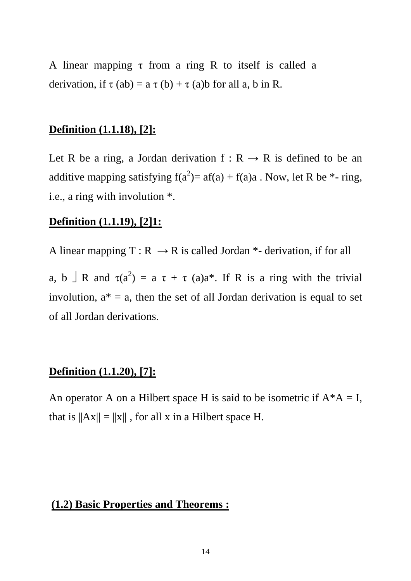A linear mapping  $\tau$  from a ring R to itself is called a derivation, if  $\tau$  (ab) = a  $\tau$  (b) +  $\tau$  (a)b for all a, b in R.

#### **Definition (1.1.18), [2]:**

Let R be a ring, a Jordan derivation  $f: R \rightarrow R$  is defined to be an additive mapping satisfying  $f(a^2) = af(a) + f(a)a$ . Now, let R be  $*$ - ring, i.e., a ring with involution \*.

#### **Definition (1.1.19), [2]1:**

A linear mapping  $T : R \rightarrow R$  is called Jordan \*- derivation, if for all

a, b  $\perp$  R and  $\tau(a^2) = a \tau + \tau(a)a^*$ . If R is a ring with the trivial involution,  $a^* = a$ , then the set of all Jordan derivation is equal to set of all Jordan derivations.

#### **Definition (1.1.20), [7]:**

An operator A on a Hilbert space H is said to be isometric if  $A^*A = I$ , that is  $||Ax|| = ||x||$ , for all x in a Hilbert space H.

#### **(1.2) Basic Properties and Theorems :**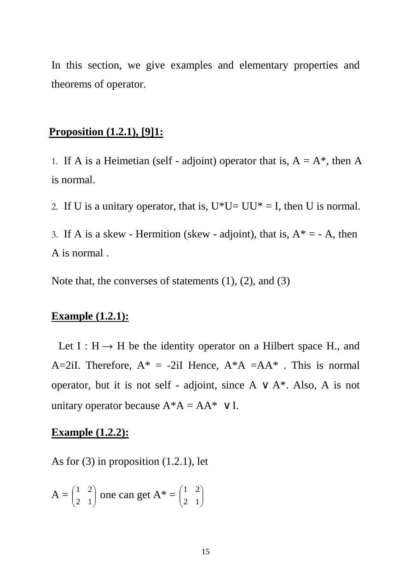In this section, we give examples and elementary properties and theorems of operator.

#### **Proposition (1.2.1), [9]1:**

1. If A is a Heimetian (self - adjoint) operator that is,  $A = A^*$ , then A is normal.

2. If U is a unitary operator, that is,  $U^*U=UU^*=I$ , then U is normal.

3. If A is a skew - Hermition (skew - adjoint), that is,  $A^* = -A$ , then A is normal .

Note that, the converses of statements (1), (2), and (3)

#### **Example (1.2.1):**

Let  $I : H \rightarrow H$  be the identity operator on a Hilbert space H., and A=2iI. Therefore,  $A^* = -2iI$  Hence,  $A^*A = AA^*$ . This is normal operator, but it is not self - adjoint, since  $A \vee A^*$ . Also, A is not unitary operator because  $A^*A = AA^* \vee I$ .

#### **Example (1.2.2):**

As for  $(3)$  in proposition  $(1.2.1)$ , let

$$
A = \begin{pmatrix} 1 & 2 \\ 2 & 1 \end{pmatrix}
$$
 one can get  $A^* = \begin{pmatrix} 1 & 2 \\ 2 & 1 \end{pmatrix}$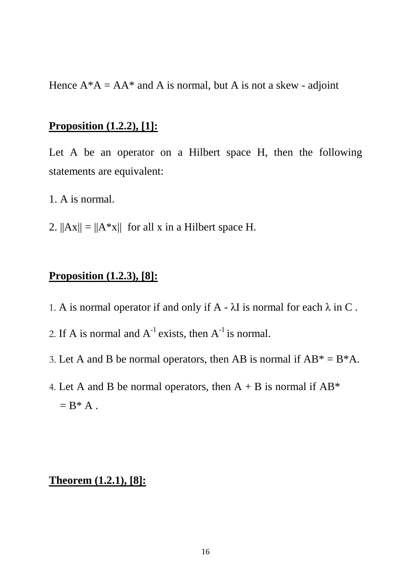Hence  $A^*A = AA^*$  and A is normal, but A is not a skew - adjoint

#### **Proposition (1.2.2), [1]:**

Let A be an operator on a Hilbert space H, then the following statements are equivalent:

- 1. A is normal.
- 2.  $||Ax|| = ||A^*x||$  for all x in a Hilbert space H.

#### **Proposition (1.2.3), [8]:**

- 1. A is normal operator if and only if  $A \lambda I$  is normal for each  $\lambda$  in C.
- 2. If A is normal and  $A^{-1}$  exists, then  $A^{-1}$  is normal.
- 3. Let A and B be normal operators, then AB is normal if  $AB^* = B^*A$ .
- 4. Let A and B be normal operators, then  $A + B$  is normal if  $AB^*$  $= B^* A$ .

#### **Theorem (1.2.1), [8]:**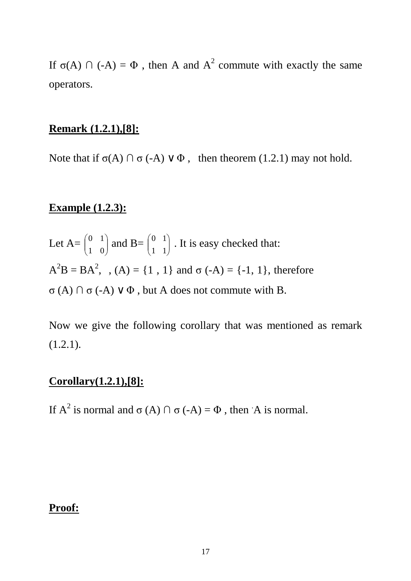If  $\sigma(A)$   $\cap$  (-A) =  $\Phi$ , then A and  $A^2$  commute with exactly the same operators.

#### **Remark (1.2.1),[8]:**

Note that if  $\sigma(A) \cap \sigma(-A) \vee \Phi$ , then theorem (1.2.1) may not hold.

#### **Example (1.2.3):**

Let  $A=\begin{bmatrix} 0 & 1 \\ 1 & 0 \end{bmatrix}$ J  $\backslash$  $\overline{\phantom{a}}$  $\setminus$ ſ 1 0  $\begin{pmatrix} 0 & 1 \\ 1 & 0 \end{pmatrix}$  and B=  $\begin{pmatrix} 0 & 1 \\ 1 & 1 \end{pmatrix}$ J  $\backslash$  $\overline{\phantom{a}}$  $\setminus$ ſ 1 1  $\begin{bmatrix} 0 & 1 \\ 1 & 1 \end{bmatrix}$ . It is easy checked that:  $A^{2}B = BA^{2}$ , ,  $(A) = \{1, 1\}$  and  $\sigma(-A) = \{-1, 1\}$ , therefore σ (A) ∩ σ (-A) ∨ Φ , but A does not commute with B.

Now we give the following corollary that was mentioned as remark (1.2.1).

#### **Corollary(1.2.1),[8]:**

If  $A^2$  is normal and  $\sigma(A) \cap \sigma(-A) = \Phi$ , then A is normal.

#### **Proof:**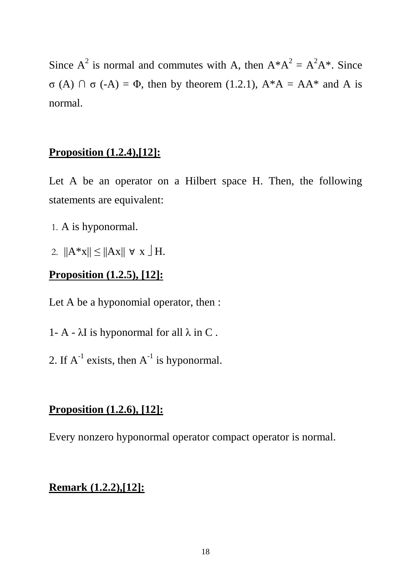Since  $A^2$  is normal and commutes with A, then  $A^*A^2 = A^2A^*$ . Since  $\sigma$  (A)  $\cap$   $\sigma$  (-A) =  $\Phi$ , then by theorem (1.2.1), A\*A = AA\* and A is normal.

#### **Proposition (1.2.4),[12]:**

Let A be an operator on a Hilbert space H. Then, the following statements are equivalent:

- 1. A is hyponormal.
- 2.  $||A^*x|| \le ||Ax|| \forall x \exists H.$

#### **Proposition (1.2.5), [12]:**

Let A be a hyponomial operator, then :

- 1- A  $\lambda$ I is hyponormal for all  $\lambda$  in C.
- 2. If  $A^{-1}$  exists, then  $A^{-1}$  is hyponormal.

#### **Proposition (1.2.6), [12]:**

Every nonzero hyponormal operator compact operator is normal.

#### **Remark (1.2.2),[12]:**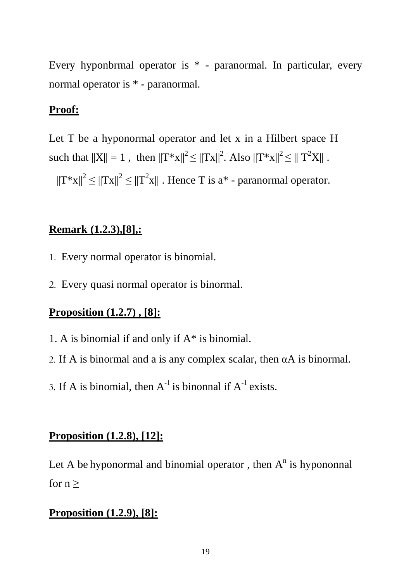Every hyponbrmal operator is \* - paranormal. In particular, every normal operator is \* - paranormal.

#### **Proof:**

Let T be a hyponormal operator and let x in a Hilbert space H such that  $||X|| = 1$ , then  $||T^*x||^2 \le ||Tx||^2$ . Also  $||T^*x||^2 \le ||T^2X||$ .

 $||T^*x||^2 \le ||Tx||^2 \le ||T^2x||$ . Hence T is a<sup>\*</sup> - paranormal operator.

#### **Remark (1.2.3),[8],:**

- 1. Every normal operator is binomial.
- 2. Every quasi normal operator is binormal.

#### **Proposition (1.2.7) , [8]:**

- 1. A is binomial if and only if A\* is binomial.
- 2. If A is binormal and a is any complex scalar, then  $\alpha$ A is binormal.
- 3. If A is binomial, then  $A^{-1}$  is binonnal if  $A^{-1}$  exists.

#### **Proposition (1.2.8), [12]:**

Let A be hyponormal and binomial operator, then  $A<sup>n</sup>$  is hypononnal for  $n \geq$ 

#### **Proposition (1.2.9), [8]:**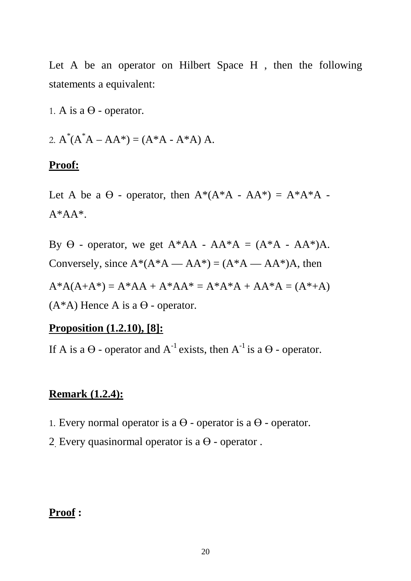Let A be an operator on Hilbert Space H, then the following statements a equivalent:

1. A is a  $\Theta$  - operator.

2.  $A^*(A^*A - AA^*) = (A^*A - A^*A) A$ .

#### **Proof:**

Let A be a  $\Theta$  - operator, then  $A^*(A^*A - AA^*) = A^*A^*A$  - $A^*AA^*.$ 

By  $\Theta$  - operator, we get  $A^*AA - AA^*A = (A^*A - AA^*)A$ . Conversely, since  $A^*(A^*A - AA^*) = (A^*A - AA^*)A$ , then  $A*A(A+A*) = A*AA + A*AA* = A*A*A + AA*A = (A*A)$  $(A^*A)$  Hence A is a  $\Theta$  - operator.

#### **Proposition (1.2.10), [8]:**

If A is a  $\Theta$  - operator and  $A^{-1}$  exists, then  $A^{-1}$  is a  $\Theta$  - operator.

#### **Remark (1.2.4):**

- 1. Every normal operator is a  $\Theta$  operator is a  $\Theta$  operator.
- 2. Every quasinormal operator is a  $\Theta$  operator.

#### **Proof :**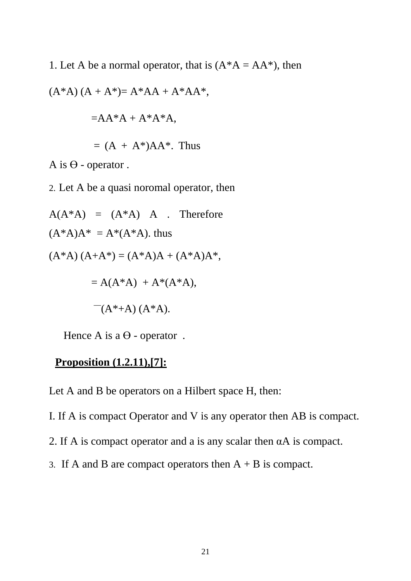1. Let A be a normal operator, that is  $(A^*A = AA^*)$ , then

$$
(A*A) (A + A*) = A*AA + A*AA*,
$$
  
= 
$$
AA*A + A*A*A,
$$
  
= 
$$
(A + A*)AA*.
$$
 Thus

A is  $\Theta$  - operator.

2. Let A be a quasi noromal operator, then

 $A(A^*A) = (A^*A) A$ . Therefore  $(A^*A)A^* = A^*(A^*A)$ . thus  $(A^*A) (A+A^*) = (A^*A)A + (A^*A)A^*$  $= A(A^*A) + A^*(A^*A),$  $^-(A^*+A)(A^*A).$ 

Hence A is a  $\Theta$  - operator.

#### **Proposition (1.2.11),[7]:**

Let A and B be operators on a Hilbert space H, then:

- I. If A is compact Operator and V is any operator then AB is compact.
- 2. If A is compact operator and a is any scalar then αA is compact.
- 3. If A and B are compact operators then  $A + B$  is compact.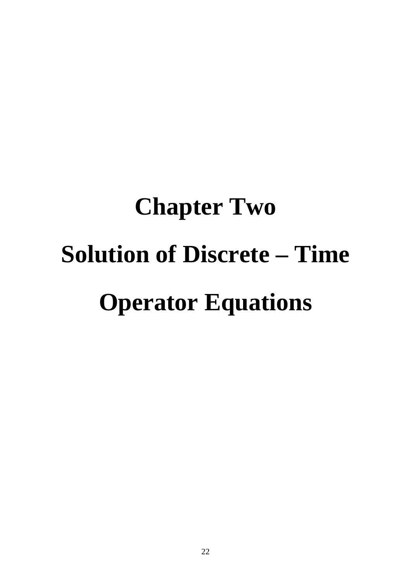# **Chapter Two Solution of Discrete – Time Operator Equations**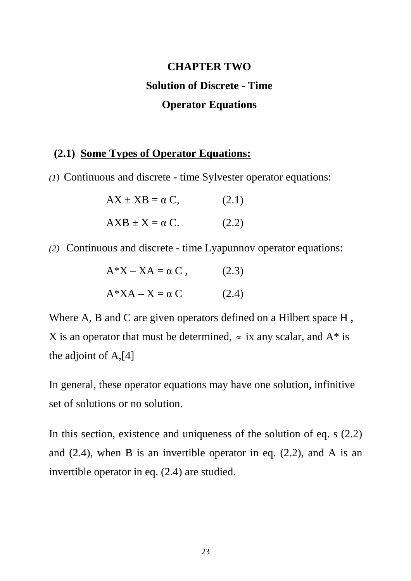## **CHAPTER TWO Solution of Discrete - Time Operator Equations**

#### **(2.1) Some Types of Operator Equations:**

*(1)* Continuous and discrete - time Sylvester operator equations:

| $AX \pm XB = \alpha C$ , | (2.1) |  |
|--------------------------|-------|--|
| $AXB \pm X = \alpha C.$  | (2.2) |  |

*(2)* Continuous and discrete - time Lyapunnov operator equations:

| $A^*X - XA = \alpha C$ , | (2.3) |
|--------------------------|-------|
| $A^*XA - X = \alpha C$   | (2.4) |

Where A, B and C are given operators defined on a Hilbert space H, X is an operator that must be determined,  $\sim$  ix any scalar, and A<sup>\*</sup> is the adjoint of A,[4]

In general, these operator equations may have one solution, infinitive set of solutions or no solution.

In this section, existence and uniqueness of the solution of eq. s (2.2) and  $(2.4)$ , when B is an invertible operator in eq.  $(2.2)$ , and A is an invertible operator in eq. (2.4) are studied.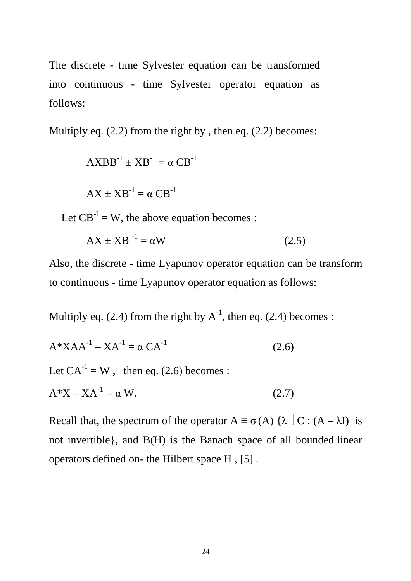The discrete - time Sylvester equation can be transformed into continuous - time Sylvester operator equation as follows:

Multiply eq.  $(2.2)$  from the right by, then eq.  $(2.2)$  becomes:

 $\text{AXBB}^{-1} \pm \text{XB}^{-1} = \alpha \text{CB}^{-1}$  $AX \pm XB^{-1} = \alpha CB^{-1}$ 

Let  $CB^{-1} = W$ , the above equation becomes :

$$
AX \pm XB^{-1} = \alpha W \tag{2.5}
$$

Also, the discrete - time Lyapunov operator equation can be transform to continuous - time Lyapunov operator equation as follows:

Multiply eq. (2.4) from the right by  $A^{-1}$ , then eq. (2.4) becomes :

$$
A*XAA^{-1} - XA^{-1} = \alpha CA^{-1}
$$
 (2.6)  
Let  $CA^{-1} = W$ , then eq. (2.6) becomes :  

$$
A*X - XA^{-1} = \alpha W.
$$
 (2.7)

Recall that, the spectrum of the operator  $A \equiv \sigma(A) \{ \lambda \} C : (A - \lambda I)$  is not invertible}, and B(H) is the Banach space of all bounded linear operators defined on- the Hilbert space H , [5] .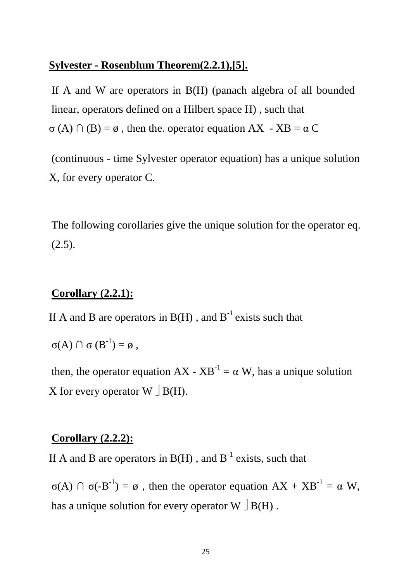#### **Sylvester - Rosenblum Theorem(2.2.1),[5].**

If A and W are operators in B(H) (panach algebra of all bounded linear, operators defined on a Hilbert space H) , such that  $\sigma(A) \cap (B) = \emptyset$ , then the operator equation AX - XB =  $\alpha$  C

(continuous - time Sylvester operator equation) has a unique solution X, for every operator C.

The following corollaries give the unique solution for the operator eq.  $(2.5).$ 

#### **Corollary (2.2.1):**

If A and B are operators in  $B(H)$ , and  $B^{-1}$  exists such that

$$
\sigma(A) \cap \sigma(B^{-1}) = \emptyset ,
$$

then, the operator equation  $AX - XB^{-1} = \alpha W$ , has a unique solution X for every operator  $W \perp B(H)$ .

#### **Corollary (2.2.2):**

If A and B are operators in  $B(H)$ , and  $B^{-1}$  exists, such that

 $\sigma(A)$   $\cap$   $\sigma(-B^{-1}) = \emptyset$ , then the operator equation  $AX + XB^{-1} = \alpha W$ , has a unique solution for every operator W  $\Box$  B(H).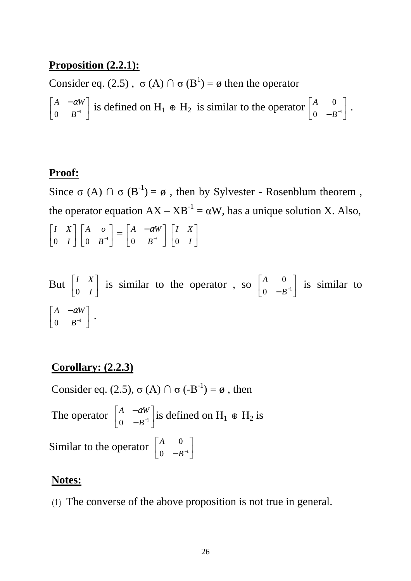#### **Proposition (2.2.1):**

Consider eq. (2.5),  $\sigma(A) \cap \sigma(B^1) = \emptyset$  then the operator

 $\overline{\phantom{a}}$ 」 1  $\mathsf{L}$ L −  $0$   $B^{-1}$  $\left\{\begin{array}{cc} A & -\alpha W \\ 0 & B^{-1} \end{array}\right\}$  is defined on  $H_1 \oplus H_2$  is similar to the operator  $\left\{\begin{array}{cc} A & 0 \\ 0 & B^{-1} \end{array}\right\}$ 」 1  $\mathsf{L}$ L Γ 0  $-B^{-1}$ 0 *B*  $\begin{bmatrix} A & 0 \\ 0 & B^{-1} \end{bmatrix}$ .

#### **Proof:**

Since σ (A)  $\cap$  σ (B<sup>-1</sup>) = ø, then by Sylvester - Rosenblum theorem, the operator equation  $AX - XB^{-1} = \alpha W$ , has a unique solution X. Also,  $\overline{\phantom{a}}$  $\rfloor$ 1  $\mathbf{r}$ L Г *I I X*  $0 \quad I \mid 0 \quad B^{-1}$  $\rfloor$ ⅂  $\mathsf{L}$ L Г  $0 \t B^{-1}$  $\begin{vmatrix} A & o \\ 0 & B^{-1} \end{vmatrix} = \begin{vmatrix} A & -\alpha W \\ 0 & B^{-1} \end{vmatrix}$  $\rfloor$ 1  $\mathsf{L}$ L −  $0$   $B^{-1}$ *A*  $-\alpha W$  $\overline{\phantom{a}}$  $\rfloor$ 1  $\mathbf{r}$ L Γ *I I X* 0

But 
$$
\begin{bmatrix} I & X \\ 0 & I \end{bmatrix}
$$
 is similar to the operator, so  $\begin{bmatrix} A & 0 \\ 0 & -B^{-1} \end{bmatrix}$  is similar to  $\begin{bmatrix} A & -\alpha W \\ 0 & B^{-1} \end{bmatrix}$ .

#### **Corollary: (2.2.3)**

Consider eq. (2.5),  $\sigma(A) \cap \sigma(-B^{-1}) = \emptyset$ , then The operator  $\begin{bmatrix} A & -a w \\ 0 & p^{-1} \end{bmatrix}$ 」 1  $\mathsf{L}$ L Γ − − 0  $-B^{-1}$  $\begin{bmatrix} A & -\alpha W \\ 0 & B^{-1} \end{bmatrix}$  is defined on H<sub>1</sub> ⊕ H<sub>2</sub> is Similar to the operator  $\begin{bmatrix} A & 0 \\ 0 & B^{-1} \end{bmatrix}$  $\rfloor$ 1  $\mathbf{r}$ L Γ 0  $-B^{-1}$ 0 *B A*

#### **Notes:**

(1) The converse of the above proposition is not true in general.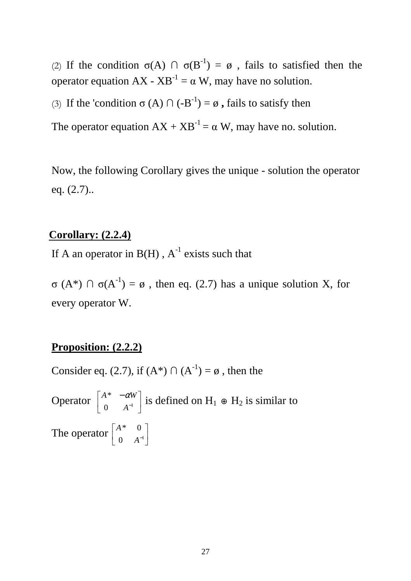(2) If the condition  $\sigma(A)$   $\cap$   $\sigma(B^{-1}) = \emptyset$ , fails to satisfied then the operator equation  $AX - XB^{-1} = \alpha W$ , may have no solution.

(3) If the 'condition  $\sigma(A) \cap (-B^{-1}) = \emptyset$ , fails to satisfy then

The operator equation  $AX + XB^{-1} = \alpha W$ , may have no. solution.

Now, the following Corollary gives the unique - solution the operator eq. (2.7)..

#### **Corollary: (2.2.4)**

If A an operator in  $B(H)$ ,  $A^{-1}$  exists such that

 $\sigma(A^*)$   $\cap$   $\sigma(A^{-1}) = \emptyset$ , then eq. (2.7) has a unique solution X, for every operator W.

#### **Proposition: (2.2.2)**

Consider eq. (2.7), if  $(A^*) \cap (A^{-1}) = \emptyset$ , then the

Operator  $\begin{bmatrix} A^T & -aW \\ 0 & A^{-1} \end{bmatrix}$  $\rfloor$ ⅂  $\mathbf{r}$ L  $\begin{bmatrix} A^* & - \end{bmatrix}$ 0  $A^{-1}$ \* *A*  $\left\lceil \frac{A^*}{A^*} \right\rceil$  is defined on H<sub>1</sub> ⊕ H<sub>2</sub> is similar to The operator  $\begin{bmatrix} A & 0 \\ 0 & A^{-1} \end{bmatrix}$  $\rfloor$ ⅂  $\mathsf{I}$ L Γ  $0 \t A^{-1}$ \* 0 *A A*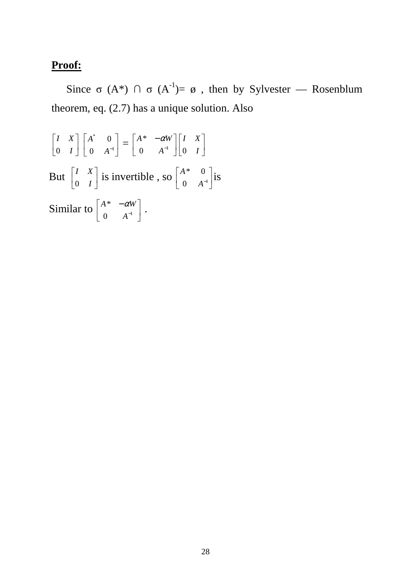#### **Proof:**

Since σ (A\*)  $\cap$  σ (A<sup>-1</sup>)=  $\emptyset$ , then by Sylvester — Rosenblum theorem, eq. (2.7) has a unique solution. Also

$$
\begin{bmatrix} I & X \\ 0 & I \end{bmatrix} \begin{bmatrix} A^* & 0 \\ 0 & A^{-1} \end{bmatrix} = \begin{bmatrix} A^* & -\alpha W \\ 0 & A^{-1} \end{bmatrix} \begin{bmatrix} I & X \\ 0 & I \end{bmatrix}
$$
  
But  $\begin{bmatrix} I & X \\ 0 & I \end{bmatrix}$  is invertible, so  $\begin{bmatrix} A^* & 0 \\ 0 & A^{-1} \end{bmatrix}$  is  
Similar to  $\begin{bmatrix} A^* & -\alpha W \\ 0 & A^{-1} \end{bmatrix}$ .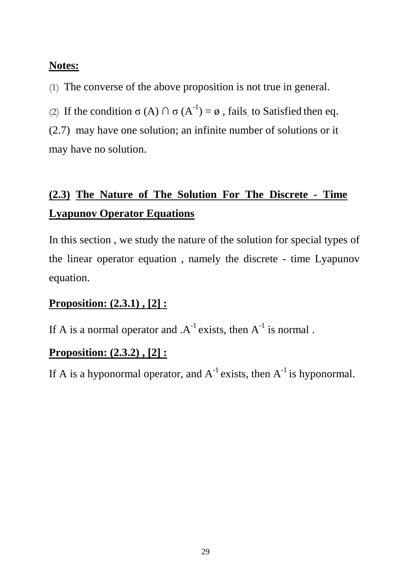#### **Notes:**

(1) The converse of the above proposition is not true in general.

(2) If the condition  $\sigma(A) \cap \sigma(A^{-1}) = \emptyset$ , fails to Satisfied then eq. (2.7) may have one solution; an infinite number of solutions or it may have no solution.

## **(2.3) The Nature of The Solution For The Discrete - Time Lyapunov Operator Equations**

In this section , we study the nature of the solution for special types of the linear operator equation , namely the discrete - time Lyapunov equation.

#### **Proposition: (2.3.1) , [2] :**

If A is a normal operator and  $A^{-1}$  exists, then  $A^{-1}$  is normal.

#### **Proposition: (2.3.2) , [2] :**

If A is a hyponormal operator, and  $A^{-1}$  exists, then  $A^{-1}$  is hyponormal.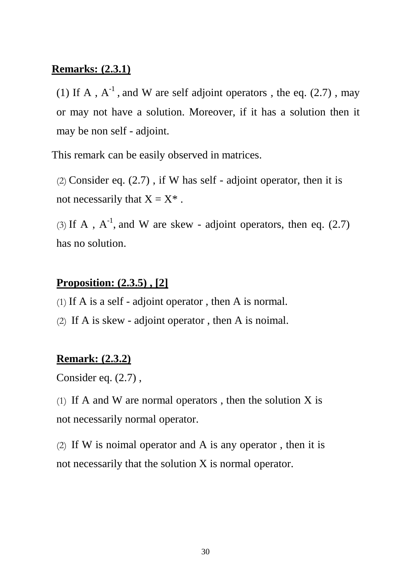#### **Remarks: (2.3.1)**

(1) If A,  $A^{-1}$ , and W are self adjoint operators, the eq. (2.7), may or may not have a solution. Moreover, if it has a solution then it may be non self - adjoint.

This remark can be easily observed in matrices.

(2) Consider eq.  $(2.7)$ , if W has self - adjoint operator, then it is not necessarily that  $X = X^*$ .

(3) If A,  $A^{-1}$ , and W are skew - adjoint operators, then eq. (2.7) has no solution.

#### **Proposition: (2.3.5) , [2]**

- (1) If A is a self adjoint operator , then A is normal.
- (2) If A is skew adjoint operator , then A is noimal.

#### **Remark: (2.3.2)**

Consider eq. (2.7) ,

(1) If A and W are normal operators, then the solution  $X$  is not necessarily normal operator.

(2) If W is noimal operator and A is any operator, then it is not necessarily that the solution X is normal operator.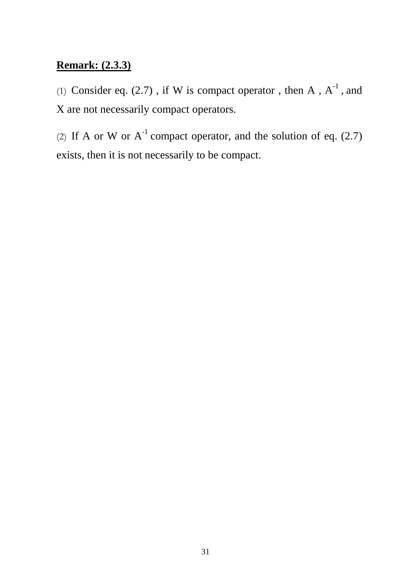#### **Remark: (2.3.3)**

(1) Consider eq. (2.7), if W is compact operator, then A,  $A^{-1}$ , and X are not necessarily compact operators.

(2) If A or W or  $A^{-1}$  compact operator, and the solution of eq. (2.7) exists, then it is not necessarily to be compact.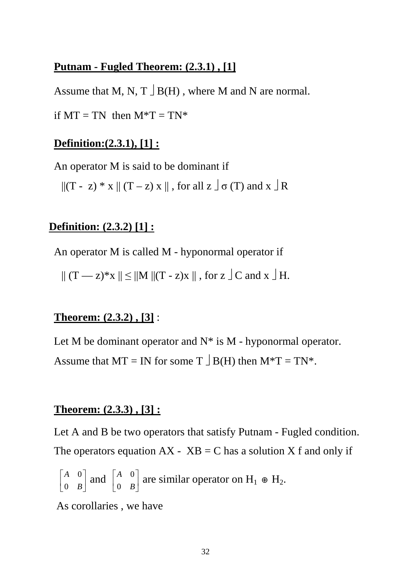#### **Putnam - Fugled Theorem: (2.3.1) , [1]**

Assume that M, N, T  $\exists$  B(H), where M and N are normal.

if  $MT = TN$  then  $M^*T = TN^*$ 

#### **Definition:(2.3.1), [1] :**

An operator M is said to be dominant if

 $||(T - z) * x || (T - z) x ||$ , for all  $z \circ T$  and  $x \circ R$ 

#### **Definition: (2.3.2) [1] :**

An operator M is called M - hyponormal operator if

 $|| (T - z)^* x || \le ||M|| (T - z)x ||$ , for  $z \big| C$  and  $x \big| H$ .

#### **Theorem: (2.3.2) , [3]** :

Let M be dominant operator and  $N^*$  is M - hyponormal operator. Assume that  $MT = IN$  for some  $T \nvert B(H)$  then  $M^*T = TN^*$ .

#### **Theorem: (2.3.3) , [3] :**

Let A and B be two operators that satisfy Putnam - Fugled condition. The operators equation  $AX - XB = C$  has a solution X f and only if

$$
\begin{bmatrix} A & 0 \\ 0 & B \end{bmatrix}
$$
 and 
$$
\begin{bmatrix} A & 0 \\ 0 & B \end{bmatrix}
$$
 are similar operator on  $H_1 \oplus H_2$ .

As corollaries , we have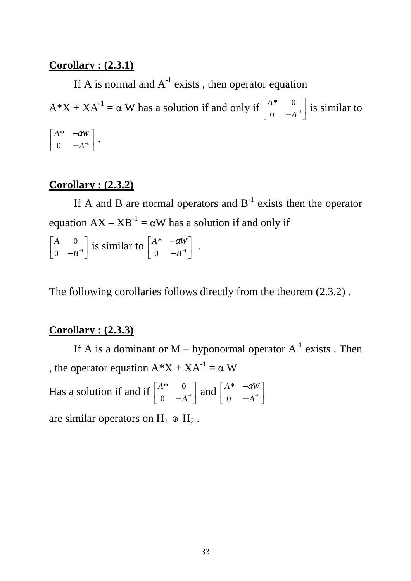#### **Corollary : (2.3.1)**

If A is normal and  $A^{-1}$  exists, then operator equation  $A^*X + XA^{-1} = \alpha W$  has a solution if and only if  $\begin{bmatrix} A^* & 0 \\ 0 & 0 \end{bmatrix}$  $\rfloor$ ⅂  $\mathsf{L}$ L 0  $-A^{-1}$ \* 0 *A*  $\begin{vmatrix} A^* & 0 \\ 0 & 1 \end{vmatrix}$  is similar to  $\overline{\phantom{a}}$  $\rfloor$ 1  $\mathsf{L}$ L Г − − 0  $-A^{-1}$ \* *A*  $\left.\begin{array}{cc} A^* & -\alpha W \\ 0 & 1 \end{array}\right|.$ 

#### **Corollary : (2.3.2)**

If A and B are normal operators and  $B^{-1}$  exists then the operator equation  $AX - XB^{-1} = \alpha W$  has a solution if and only if

 $\overline{\phantom{a}}$  $\rfloor$ 1  $\mathsf{L}$ L Г 0  $-B^{-1}$ 0 *B*  $\begin{bmatrix} A & 0 \\ 0 & B^{-1} \end{bmatrix}$  is similar to  $\begin{bmatrix} A^* & -\alpha W \\ 0 & B^{-1} \end{bmatrix}$  $\rfloor$ 1  $\mathsf{L}$ L Г − − 0  $-B^{-1}$ \* *B*  $A^*$   $-\alpha W$  .

The following corollaries follows directly from the theorem (2.3.2) .

#### **Corollary : (2.3.3)**

If A is a dominant or  $M$  – hyponormal operator  $A^{-1}$  exists . Then , the operator equation  $A^*X + XA^{-1} = \alpha W$ 

Has a solution if and if  $\begin{bmatrix} A & 0 \\ 0 & A^{-1} \end{bmatrix}$  $\rfloor$ ⅂  $\mathbf{r}$ L Г 0  $-A^{-1}$ \* 0 *A*  $\begin{array}{cc} A^* & 0 \\ 0 & A^{-1} \end{array}$  and  $\begin{array}{cc} A^* & -\alpha W \\ 0 & A^{-1} \end{array}$  $\rfloor$ 1  $\mathsf{I}$ L Γ − − 0  $-A^{-1}$ \* *A*  $A^*$   $-\alpha W$ are similar operators on  $H_1 \oplus H_2$ .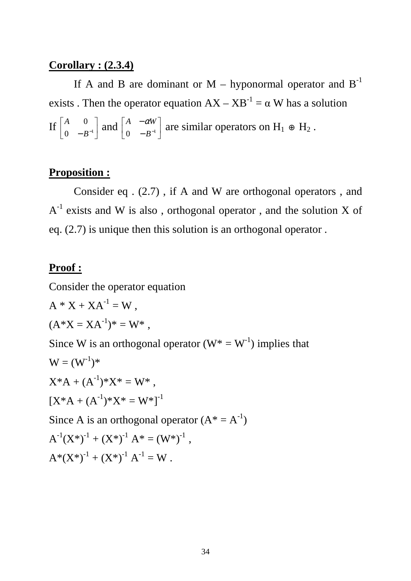#### **Corollary : (2.3.4)**

If A and B are dominant or  $M$  – hyponormal operator and  $B^{-1}$ exists . Then the operator equation  $AX - XB^{-1} = \alpha W$  has a solution  $\left| \int_{0}^{A} \frac{v}{p-1} \right|$  $\rfloor$ 1  $\mathsf{L}$ L Г 0  $-B^{-1}$ 0 *B*  $\begin{array}{cc} A & 0 \\ 0 & B^{-1} \end{array}$  and  $\begin{array}{cc} A & -\alpha W \\ 0 & B^{-1} \end{array}$  $\rfloor$ 1  $\mathbf{r}$ L Г − − 0  $-B^{-1}$  $\left\{ \begin{array}{c} A & -\alpha W \\ 0 & B^{-1} \end{array} \right\}$  are similar operators on H<sub>1</sub> ⊕ H<sub>2</sub>.

#### **Proposition :**

 Consider eq . (2.7) , if A and W are orthogonal operators , and  $A^{-1}$  exists and W is also, orthogonal operator, and the solution X of eq. (2.7) is unique then this solution is an orthogonal operator .

#### **Proof :**

Consider the operator equation

$$
A * X + XA^{-1} = W,
$$
  
\n
$$
(A * X = XA^{-1})^* = W^*,
$$
  
\nSince W is an orthogonal operator  $(W^* = W^{-1})$  implies that  
\n
$$
W = (W^{-1})^*
$$
  
\n
$$
X^*A + (A^{-1})^*X^* = W^*,
$$
  
\n
$$
[X^*A + (A^{-1})^*X^* = W^*]^{-1}
$$
  
\nSince A is an orthogonal operator  $(A^* = A^{-1})$   
\n
$$
A^{-1}(X^*)^{-1} + (X^*)^{-1}A^* = (W^*)^{-1},
$$
  
\n
$$
A^*(X^*)^{-1} + (X^*)^{-1}A^{-1} = W.
$$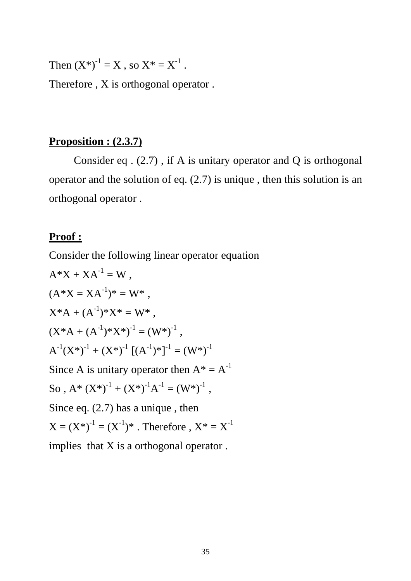Then  $(X^*)^{-1} = X$ , so  $X^* = X^{-1}$ .

Therefore , X is orthogonal operator .

#### **Proposition : (2.3.7)**

 Consider eq . (2.7) , if A is unitary operator and Q is orthogonal operator and the solution of eq. (2.7) is unique , then this solution is an orthogonal operator .

#### **Proof :**

Consider the following linear operator equation

$$
A^*X + XA^{-1} = W,
$$
  
\n
$$
(A^*X = XA^{-1})^* = W^*,
$$
  
\n
$$
X^*A + (A^{-1})^*X^* = W^*,
$$
  
\n
$$
(X^*A + (A^{-1})^*X^*)^{-1} = (W^*)^{-1},
$$
  
\n
$$
A^{-1}(X^*)^{-1} + (X^*)^{-1}[(A^{-1})^*]^{-1} = (W^*)^{-1}
$$
  
\nSince A is unitary operator then  $A^* = A^{-1}$   
\nSo,  $A^* (X^*)^{-1} + (X^*)^{-1}A^{-1} = (W^*)^{-1},$   
\nSince eq. (2.7) has a unique, then  
\n
$$
X = (X^*)^{-1} = (X^{-1})^*.
$$
 Therefore,  $X^* = X^{-1}$   
\nimplies that X is a orthogonal operator.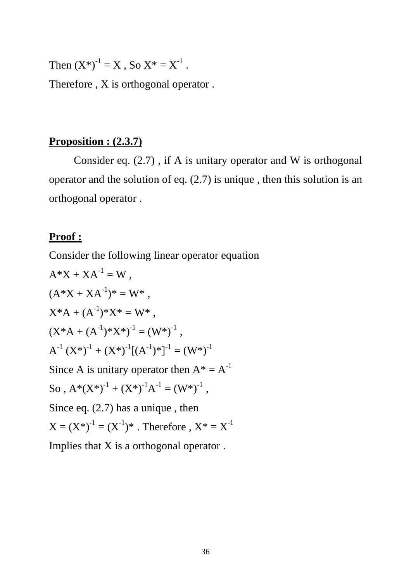Then  $(X^*)^{-1} = X$ , So  $X^* = X^{-1}$ .

Therefore , X is orthogonal operator .

#### **Proposition : (2.3.7)**

 Consider eq. (2.7) , if A is unitary operator and W is orthogonal operator and the solution of eq. (2.7) is unique , then this solution is an orthogonal operator .

#### **Proof :**

Consider the following linear operator equation

$$
A^*X + XA^{-1} = W,
$$
  
\n
$$
(A^*X + XA^{-1})^* = W^*,
$$
  
\n
$$
X^*A + (A^{-1})^*X^* = W^*,
$$
  
\n
$$
(X^*A + (A^{-1})^*X^*)^{-1} = (W^*)^{-1},
$$
  
\n
$$
A^{-1} (X^*)^{-1} + (X^*)^{-1}[(A^{-1})^*]^{-1} = (W^*)^{-1}
$$
  
\nSince A is unitary operator then  $A^* = A^{-1}$   
\nSo,  $A^*(X^*)^{-1} + (X^*)^{-1}A^{-1} = (W^*)^{-1},$   
\nSince eq. (2.7) has a unique, then  
\n
$$
X = (X^*)^{-1} = (X^{-1})^*.
$$
 Therefore,  $X^* = X^{-1}$   
\nImplies that X is a orthogonal operator.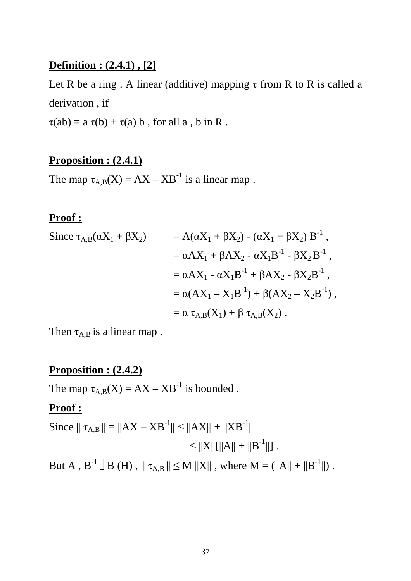#### **Definition : (2.4.1) , [2]**

Let R be a ring . A linear (additive) mapping  $\tau$  from R to R is called a derivation , if

 $\tau(ab) = a \tau(b) + \tau(a) b$ , for all a, b in R.

#### **Proposition : (2.4.1)**

The map  $\tau_{A,B}(X) = AX - XB^{-1}$  is a linear map.

#### **Proof :**

Since 
$$
\tau_{A,B}(\alpha X_1 + \beta X_2)
$$
 =  $A(\alpha X_1 + \beta X_2) - (\alpha X_1 + \beta X_2) B^{-1}$ ,  
\t\t=  $\alpha A X_1 + \beta A X_2 - \alpha X_1 B^{-1} - \beta X_2 B^{-1}$ ,  
\t\t=  $\alpha A X_1 - \alpha X_1 B^{-1} + \beta A X_2 - \beta X_2 B^{-1}$ ,  
\t\t=  $\alpha (AX_1 - X_1 B^{-1}) + \beta (AX_2 - X_2 B^{-1})$ ,  
\t\t=  $\alpha \tau_{A,B}(X_1) + \beta \tau_{A,B}(X_2)$ .

Then  $\tau_{A,B}$  is a linear map.

# **Proposition : (2.4.2)**

The map  $\tau_{A,B}(X) = AX - XB^{-1}$  is bounded.

#### **Proof :**

Since  $|| \tau_{A,B} || = ||AX - XB^{-1}|| \le ||AX|| + ||XB^{-1}||$  $\leq$   $||X||[||A|| + ||B^{-1}||]$ .

But A,  $B^{-1} \rightharpoonup B(H)$ ,  $|| \tau_{A,B} || \leq M ||X||$ , where  $M = (||A|| + ||B^{-1}||)$ .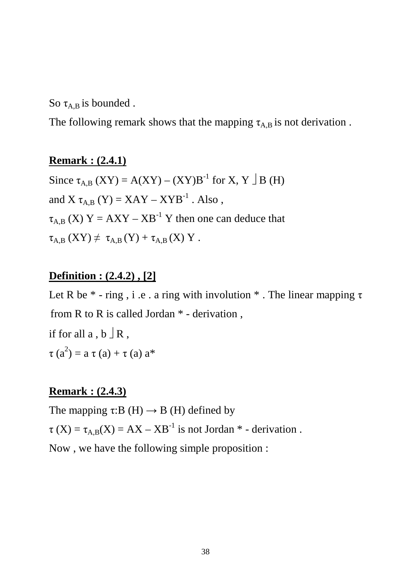So  $\tau_{A,B}$  is bounded.

The following remark shows that the mapping  $\tau_{A,B}$  is not derivation.

#### **Remark : (2.4.1)**

Since  $\tau_{A,B}$  (XY) = A(XY) – (XY)B<sup>-1</sup> for X, Y  $\Box$  B (H) and X  $\tau_{AB}$  (Y) = XAY – XYB<sup>-1</sup>. Also,  $\tau_{A,B}$  (X) Y = AXY – XB<sup>-1</sup> Y then one can deduce that  $\tau_{A,B}$   $(XY) \neq \tau_{A,B}$   $(Y) + \tau_{A,B}$   $(X)$  Y.

#### **Definition : (2.4.2) , [2]**

Let R be  $*$  - ring, i.e. a ring with involution  $*$ . The linear mapping  $\tau$ from R to R is called Jordan \* - derivation , if for all  $a, b \, \exists R$ ,  $\tau(a^2) = a \tau(a) + \tau(a) a^*$ 

#### **Remark : (2.4.3)**

The mapping  $\tau: B(H) \to B(H)$  defined by  $\tau$  (X) =  $\tau$ <sub>A B</sub>(X) = AX – XB<sup>-1</sup> is not Jordan  $*$  - derivation. Now , we have the following simple proposition :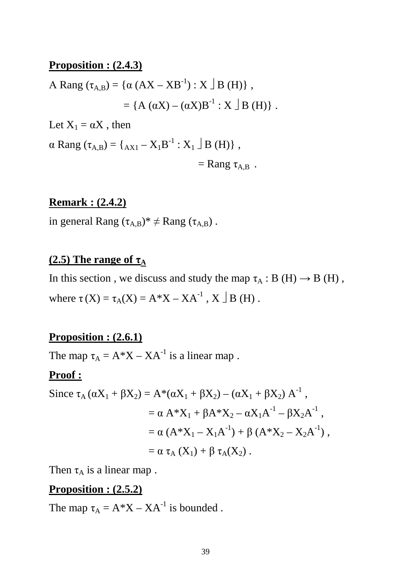#### **Proposition : (2.4.3)**

A Rang 
$$
(\tau_{A,B}) = {\alpha (AX - XB-1) : X \rvert B(H)}
$$
,  
= {A  $(\alpha X) - (\alpha X)B^{-1} : X \rvert B(H)$  }.  
Let  $X_1 = \alpha X$ , then

 $\alpha$  Rang ( $\tau_{A,B}$ ) = { $_{AX1} - X_1B^{-1}$  :  $X_1 \perp B$  (H)},  $=$  Rang  $\tau_{AB}$ .

#### **Remark : (2.4.2)**

in general Rang  $(\tau_{A,B})^* \neq$  Rang  $(\tau_{A,B})$ .

#### **(2.5)** The range of  $\tau_A$

In this section, we discuss and study the map  $\tau_A : B(H) \to B(H)$ , where  $\tau(X) = \tau_A(X) = A^*X - XA^{-1}$ ,  $X \perp B(H)$ .

#### **Proposition : (2.6.1)**

The map  $\tau_A = A^*X - XA^{-1}$  is a linear map.

#### **Proof :**

Since 
$$
\tau_A (\alpha X_1 + \beta X_2) = A^* (\alpha X_1 + \beta X_2) - (\alpha X_1 + \beta X_2) A^{-1}
$$
,  
\t\t\t\t $= \alpha A^* X_1 + \beta A^* X_2 - \alpha X_1 A^{-1} - \beta X_2 A^{-1}$ ,  
\t\t\t\t $= \alpha (A^* X_1 - X_1 A^{-1}) + \beta (A^* X_2 - X_2 A^{-1})$ ,  
\t\t\t\t $= \alpha \tau_A (X_1) + \beta \tau_A (X_2)$ .

Then  $\tau_A$  is a linear map.

#### **Proposition : (2.5.2)**

The map  $\tau_A = A^*X - XA^{-1}$  is bounded.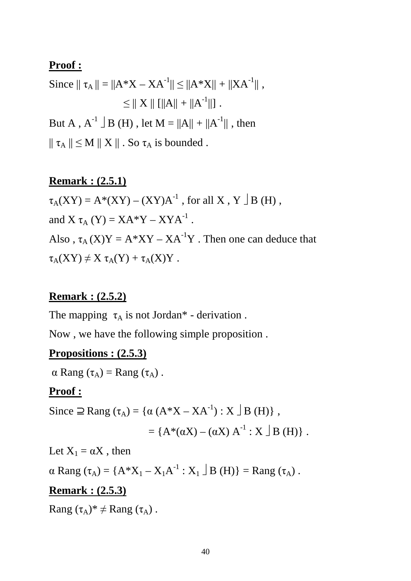#### **Proof :**

Since  $|| \tau_A || = ||A^*X - XA^{-1}|| \le ||A^*X|| + ||XA^{-1}||$ ,  $\leq || X || || ||A|| + ||A^{-1}|| ||$ . But A,  $A^{-1} \perp B(H)$ , let  $M = ||A|| + ||A^{-1}||$ , then  $|| \tau_A || \leq M || X ||$ . So  $\tau_A$  is bounded.

#### **Remark : (2.5.1)**

 $\tau_A(XY) = A^*(XY) - (XY)A^{-1}$ , for all X, Y  $\perp$  B (H), and X  $\tau_A$  (Y) = XA\*Y – XYA<sup>-1</sup>. Also,  $\tau_A$  (X)Y = A\*XY – XA<sup>-1</sup>Y. Then one can deduce that  $\tau_A(XY) \neq X \tau_A(Y) + \tau_A(X)Y$ .

#### **Remark : (2.5.2)**

The mapping  $\tau_A$  is not Jordan\* - derivation.

Now , we have the following simple proposition .

#### **Propositions : (2.5.3)**

 $\alpha$  Rang  $(\tau_A)$  = Rang  $(\tau_A)$ .

#### **Proof :**

Since  $\supseteq$  Rang  $(\tau_A) = {\alpha (A^*X - XA^{-1}) : X \bigcup B(H)}$ ,

$$
= \{A^*(\alpha X) - (\alpha X) A^{-1} : X \perp B(H)\}.
$$

Let  $X_1 = \alpha X$ , then

 $\alpha$  Rang  $(\tau_A) = \{A^*X_1 - X_1A^{-1} : X_1 \cup B(H)\} = \text{Rang}(\tau_A)$ .

#### **Remark : (2.5.3)**

Rang  $(\tau_A)^* \neq$  Rang  $(\tau_A)$ .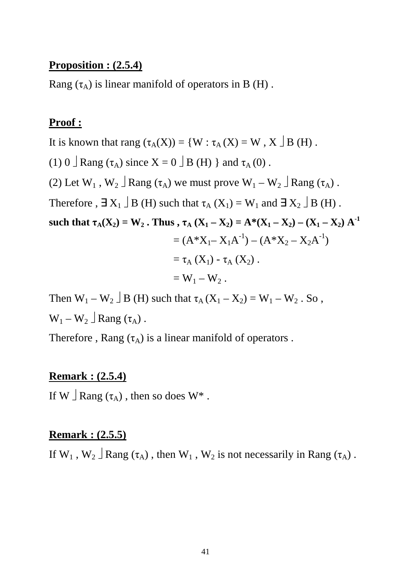#### **Proposition : (2.5.4)**

Rang  $(\tau_A)$  is linear manifold of operators in B (H).

#### **Proof :**

It is known that rang  $(\tau_A(X)) = \{W : \tau_A(X) = W, X \perp B(H) \}.$ 

(1) 0  $\Box$  Rang ( $\tau_A$ ) since X = 0  $\Box$  B (H) } and  $\tau_A$  (0).

(2) Let  $W_1$ ,  $W_2 \perp$  Rang ( $\tau_A$ ) we must prove  $W_1 - W_2 \perp$  Rang ( $\tau_A$ ).

Therefore ,  $\exists X_1 \Box B$  (H) such that  $\tau_A(X_1) = W_1$  and  $\exists X_2 \Box B$  (H).

such that  $\tau_A(X_2) = W_2$ . Thus,  $\tau_A (X_1 - X_2) = A^*(X_1 - X_2) - (X_1 - X_2) A^{-1}$ 

$$
= (A^*X_1 - X_1A^{-1}) - (A^*X_2 - X_2A^{-1})
$$
  
=  $\tau_A(X_1) - \tau_A(X_2)$ .

$$
=W_1-W_2.
$$

Then  $W_1 - W_2 \perp B$  (H) such that  $\tau_A (X_1 - X_2) = W_1 - W_2$ . So,  $W_1 - W_2 \rvert Rang(\tau_A)$ .

Therefore, Rang  $(\tau_A)$  is a linear manifold of operators.

#### **Remark : (2.5.4)**

If W  $\vert$  Rang ( $\tau_A$ ), then so does W<sup>\*</sup>.

#### **Remark : (2.5.5)**

If  $W_1$ ,  $W_2 \perp R$ ang ( $\tau_A$ ), then  $W_1$ ,  $W_2$  is not necessarily in Rang ( $\tau_A$ ).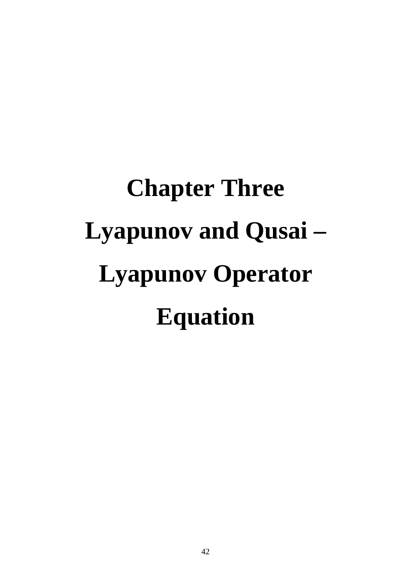# **Chapter Three Lyapunov and Qusai – Lyapunov Operator Equation**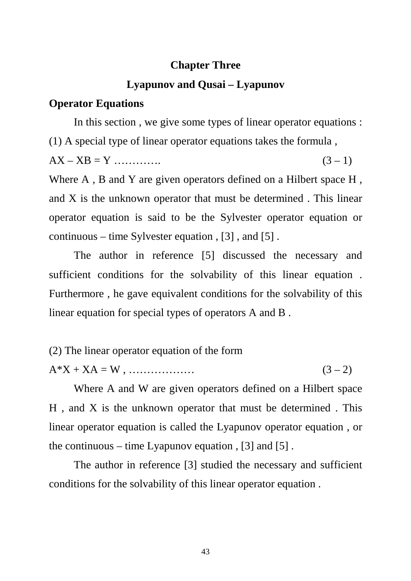#### **Chapter Three**

#### **Lyapunov and Qusai – Lyapunov**

#### **Operator Equations**

 In this section , we give some types of linear operator equations : (1) A special type of linear operator equations takes the formula ,

 $AX - XB = Y$  ………….. (3 – 1)

Where A, B and Y are given operators defined on a Hilbert space H, and X is the unknown operator that must be determined . This linear operator equation is said to be the Sylvester operator equation or continuous – time Sylvester equation , [3] , and [5] .

 The author in reference [5] discussed the necessary and sufficient conditions for the solvability of this linear equation . Furthermore , he gave equivalent conditions for the solvability of this linear equation for special types of operators A and B .

(2) The linear operator equation of the form

A\*X + XA = W , ……………… (3 – 2)

 Where A and W are given operators defined on a Hilbert space H , and X is the unknown operator that must be determined . This linear operator equation is called the Lyapunov operator equation , or the continuous – time Lyapunov equation,  $[3]$  and  $[5]$ .

 The author in reference [3] studied the necessary and sufficient conditions for the solvability of this linear operator equation .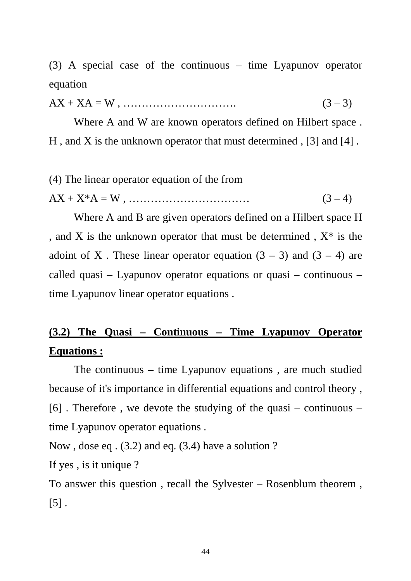(3) A special case of the continuous – time Lyapunov operator equation

AX + XA = W , …………………………. (3 – 3)

 Where A and W are known operators defined on Hilbert space . H , and X is the unknown operator that must determined , [3] and [4] .

(4) The linear operator equation of the from

AX + X\*A = W , …………………………… (3 – 4)

 Where A and B are given operators defined on a Hilbert space H , and X is the unknown operator that must be determined , X\* is the adoint of X. These linear operator equation  $(3 - 3)$  and  $(3 - 4)$  are called quasi – Lyapunov operator equations or quasi – continuous – time Lyapunov linear operator equations .

# **(3.2) The Quasi – Continuous – Time Lyapunov Operator Equations :**

 The continuous – time Lyapunov equations , are much studied because of it's importance in differential equations and control theory ,  $[6]$ . Therefore, we devote the studying of the quasi – continuous – time Lyapunov operator equations .

Now , dose eq . (3.2) and eq. (3.4) have a solution ?

If yes , is it unique ?

To answer this question , recall the Sylvester – Rosenblum theorem ,  $[5]$ .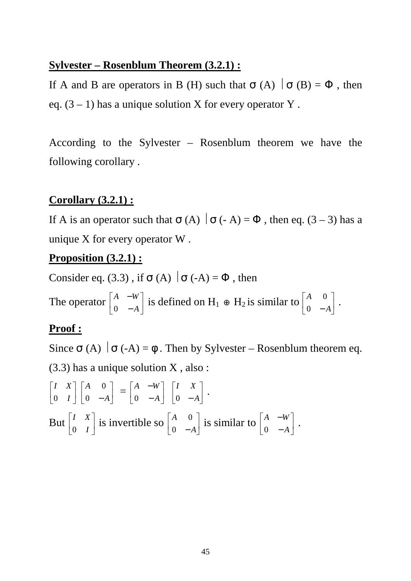#### **Sylvester – Rosenblum Theorem (3.2.1) :**

If A and B are operators in B (H) such that  $\sigma(A) | \sigma(B) = \Phi$ , then eq.  $(3 – 1)$  has a unique solution X for every operator Y.

According to the Sylvester – Rosenblum theorem we have the following corollary .

#### **Corollary (3.2.1) :**

If A is an operator such that  $\sigma(A) | \sigma(-A) = \Phi$ , then eq. (3 – 3) has a unique X for every operator W .

#### **Proposition (3.2.1) :**

Consider eq. (3.3), if  $\sigma(A) | \sigma(-A) = \Phi$ , then

The operator  $\begin{bmatrix} A & -w \\ 0 & 1 \end{bmatrix}$  $\rfloor$ 1  $\mathbf{r}$ L Г − − *A A W*  $\begin{bmatrix} A & -w \\ 0 & -A \end{bmatrix}$  is defined on H<sub>1</sub> ⊕ H<sub>2</sub> is similar to  $\begin{bmatrix} A & 0 \\ 0 & -A \end{bmatrix}$  $\rfloor$ 1  $\mathbf{r}$ L Г − *A A* 0  $\begin{bmatrix} 0 \\ 1 \end{bmatrix}$ .

# **Proof :**

Since  $\sigma$  (A)  $\sigma$  (-A) =  $\phi$ . Then by Sylvester – Rosenblum theorem eq.

(3.3) has a unique solution X , also :

 $\overline{\phantom{a}}$  $\rfloor$ 1  $\mathbf{r}$ L Г *I I X*  $0 \quad I \mid 0 \quad -A$  $\rfloor$ 1  $\mathbf{r}$ L Г − *A A* 0  $\begin{bmatrix} 0 \\ A \end{bmatrix} = \begin{bmatrix} A & -W \\ 0 & A \end{bmatrix}$  $\rfloor$ ⅂  $\mathbf{r}$ L Γ − − *A A W*  $\begin{vmatrix} A & -W \\ 0 & -A \end{vmatrix}$   $\begin{vmatrix} I & A \\ 0 & -A \end{vmatrix}$  $\rfloor$ 1  $\mathbf{r}$ L Г − *A I X* 0 . But  $\left| \begin{array}{cc} 1 & \Lambda \\ 0 & I \end{array} \right|$  $\rfloor$ ⅂  $\mathbf{r}$ L Γ *I I X*  $\begin{bmatrix} 1 & A \\ 0 & I \end{bmatrix}$  is invertible so  $\begin{bmatrix} A & 0 \\ 0 & -A \end{bmatrix}$  $\rfloor$ 1  $\mathbf{r}$ L Γ − *A A* 0  $\begin{bmatrix} 0 \\ 1 \end{bmatrix}$  is similar to  $\begin{bmatrix} A & -W \\ 0 & 1 \end{bmatrix}$  $\rfloor$ ⅂  $\mathbf{r}$ L Γ − − *A A W* 0 .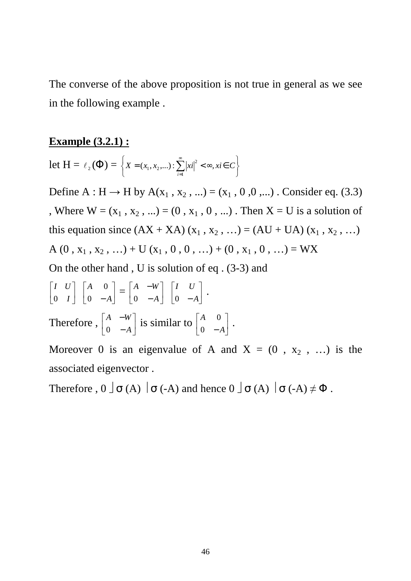The converse of the above proposition is not true in general as we see in the following example .

#### **Example (3.2.1) :**

Let 
$$
H = \ell_2(\Phi) = \left\{ X = (x_1, x_2,...): \sum_{i=1}^{\infty} |x_i|^2 < \infty, x_i \in C \right\}
$$

Define A : H  $\rightarrow$  H by A(x<sub>1</sub>, x<sub>2</sub>, ...) = (x<sub>1</sub>, 0, 0, ...) . Consider eq. (3.3) , Where  $W = (x_1, x_2, ...) = (0, x_1, 0, ...)$ . Then  $X = U$  is a solution of this equation since  $(AX + XA)(x_1, x_2, ...) = (AU + UA)(x_1, x_2, ...)$ A (0 , x<sub>1</sub> , x<sub>2</sub> , …) + U (x<sub>1</sub> , 0 , 0 , …) + (0 , x<sub>1</sub> , 0 , …) = WX

On the other hand , U is solution of eq . (3-3) and

$$
\begin{bmatrix} I & U \\ 0 & I \end{bmatrix} \begin{bmatrix} A & 0 \\ 0 & -A \end{bmatrix} = \begin{bmatrix} A & -W \\ 0 & -A \end{bmatrix} \begin{bmatrix} I & U \\ 0 & -A \end{bmatrix}.
$$
  
Therefore, 
$$
\begin{bmatrix} A & -W \\ 0 & -A \end{bmatrix}
$$
 is similar to 
$$
\begin{bmatrix} A & 0 \\ 0 & -A \end{bmatrix}.
$$

Moreover 0 is an eigenvalue of A and  $X = (0, x_2, ...)$  is the associated eigenvector .

Therefore ,  $0 \perp \sigma(A) \mid \sigma(A)$  and hence  $0 \perp \sigma(A) \mid \sigma(A) \neq \Phi$ .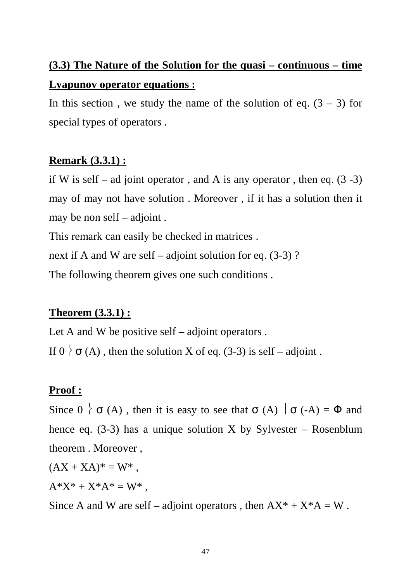# **(3.3) The Nature of the Solution for the quasi – continuous – time Lyapunov operator equations :**

In this section, we study the name of the solution of eq.  $(3 – 3)$  for special types of operators .

# **Remark (3.3.1) :**

if W is self – ad joint operator, and A is any operator, then eq.  $(3 -3)$ may of may not have solution . Moreover , if it has a solution then it may be non self – adjoint .

This remark can easily be checked in matrices .

next if A and W are self – adjoint solution for eq. (3-3) ?

The following theorem gives one such conditions .

# **Theorem (3.3.1) :**

Let A and W be positive self  $-$  adjoint operators. If  $0 \nmid \sigma(A)$ , then the solution X of eq. (3-3) is self – adjoint.

# **Proof :**

Since  $0 \mid \sigma(A)$ , then it is easy to see that  $\sigma(A) \mid \sigma(A) = \Phi$  and hence eq.  $(3-3)$  has a unique solution X by Sylvester – Rosenblum theorem . Moreover ,

 $(AX + XA)^* = W^*$ ,

 $A^*X^* + X^*A^* = W^*$ ,

Since A and W are self – adjoint operators, then  $AX^* + X^*A = W$ .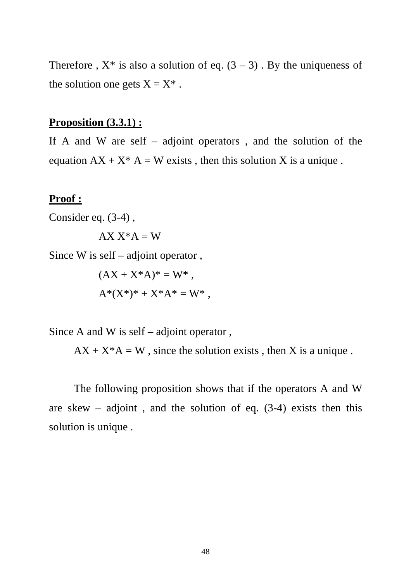Therefore ,  $X^*$  is also a solution of eq.  $(3 – 3)$ . By the uniqueness of the solution one gets  $X = X^*$ .

#### **Proposition (3.3.1) :**

If A and W are self – adjoint operators, and the solution of the equation  $AX + X^* A = W$  exists, then this solution X is a unique.

#### **Proof :**

Consider eq. (3-4) ,

 $AX X^*A = W$ 

Since W is self – adjoint operator ,

$$
(AX + X^*A)^* = W^* ,
$$
  

$$
A^*(X^*)^* + X^*A^* = W^* ,
$$

Since A and W is self – adjoint operator ,

 $AX + X^*A = W$ , since the solution exists, then X is a unique.

 The following proposition shows that if the operators A and W are skew – adjoint, and the solution of eq.  $(3-4)$  exists then this solution is unique .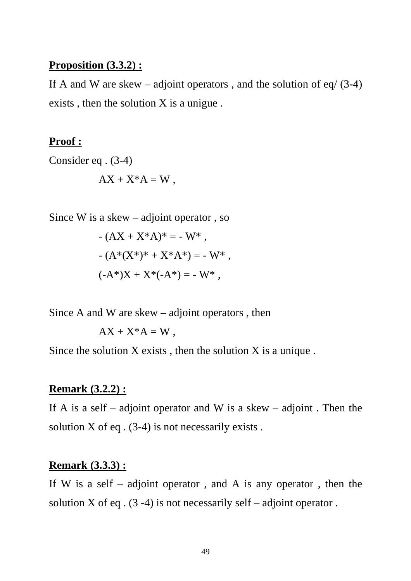#### **Proposition (3.3.2) :**

If A and W are skew – adjoint operators, and the solution of eq/  $(3-4)$ exists , then the solution X is a unigue .

#### **Proof :**

Consider eq . (3-4)  $AX + X^*A = W$ .

Since W is a skew – adjoint operator , so

$$
-(AX + X^*A)^* = -W^*,
$$
  
- 
$$
(A^*(X^*)^* + X^*A^*) = -W^*,
$$
  

$$
(-A^*)X + X^*(-A^*) = -W^*,
$$

Since A and W are skew – adjoint operators , then

$$
AX + X^*A = W,
$$

Since the solution  $X$  exists, then the solution  $X$  is a unique.

#### **Remark (3.2.2) :**

If A is a self – adjoint operator and W is a skew – adjoint. Then the solution  $X$  of eq.  $(3-4)$  is not necessarily exists.

#### **Remark (3.3.3) :**

If W is a self – adjoint operator, and A is any operator, then the solution X of eq.  $(3-4)$  is not necessarily self – adjoint operator.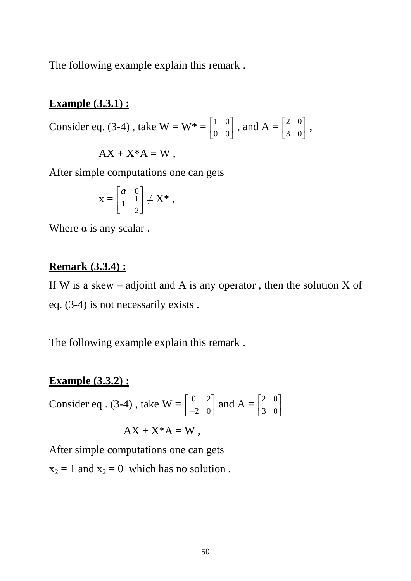The following example explain this remark .

#### **Example (3.3.1) :**

Consider eq. (3-4), take  $W = W^* = \begin{bmatrix} 1 & 0 \\ 0 & 0 \end{bmatrix}$  $\rfloor$ ⅂  $\mathbf{r}$ L Г 0 0  $\begin{bmatrix} 1 & 0 \\ 0 & 0 \end{bmatrix}$ , and  $A = \begin{bmatrix} 2 & 0 \\ 2 & 0 \end{bmatrix}$  $\rfloor$ 1  $\mathsf{L}$ L Г 3 0  $\begin{bmatrix} 2 & 0 \\ 2 & 0 \end{bmatrix}$ ,

$$
AX + X^*A = W,
$$

After simple computations one can gets

$$
\mathbf{x} = \begin{bmatrix} \alpha & 0 \\ 1 & \frac{1}{2} \end{bmatrix} \neq \mathbf{X}^* ,
$$

Where  $\alpha$  is any scalar.

#### **Remark (3.3.4) :**

If W is a skew – adjoint and A is any operator, then the solution X of eq. (3-4) is not necessarily exists .

The following example explain this remark .

#### **Example (3.3.2) :**

Consider eq. (3-4), take W = 
$$
\begin{bmatrix} 0 & 2 \\ -2 & 0 \end{bmatrix}
$$
 and A =  $\begin{bmatrix} 2 & 0 \\ 3 & 0 \end{bmatrix}$   
AX + X<sup>\*</sup>A = W,

After simple computations one can gets  $x_2 = 1$  and  $x_2 = 0$  which has no solution.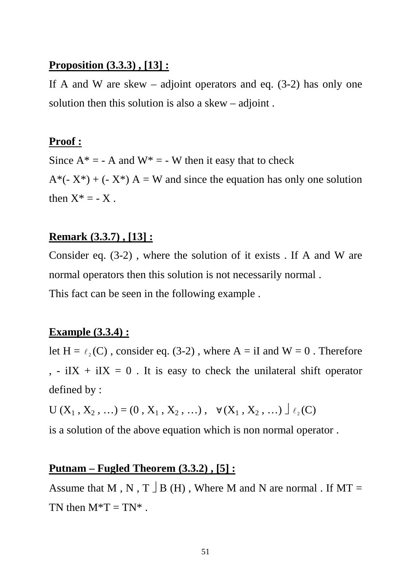#### **Proposition (3.3.3) , [13] :**

If A and W are skew – adjoint operators and eq.  $(3-2)$  has only one solution then this solution is also a skew – adjoint .

#### **Proof :**

Since  $A^* = -A$  and  $W^* = -W$  then it easy that to check  $A^*(-X^*) + (-X^*) A = W$  and since the equation has only one solution then  $X^* = -X$ .

#### **Remark (3.3.7) , [13] :**

Consider eq. (3-2) , where the solution of it exists . If A and W are normal operators then this solution is not necessarily normal . This fact can be seen in the following example .

#### **Example (3.3.4) :**

let  $H = \ell_2(C)$ , consider eq. (3-2), where  $A = iI$  and  $W = 0$ . Therefore , - iIX + iIX = 0. It is easy to check the unilateral shift operator defined by :

 $U(X_1, X_2, ...) = (0, X_1, X_2, ...)$ ,  $\forall (X_1, X_2, ...)$ 

is a solution of the above equation which is non normal operator .

#### **Putnam – Fugled Theorem (3.3.2) , [5] :**

Assume that M, N, T  $\Box$  B (H), Where M and N are normal . If MT = TN then  $M^*T = TN^*$ .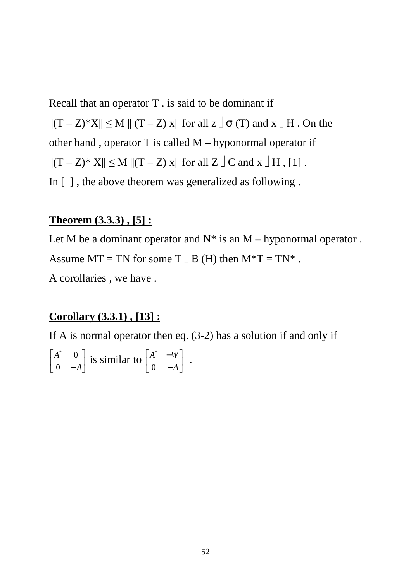Recall that an operator T . is said to be dominant if  $||(T - Z)^*X|| \leq M || (T - Z) x||$  for all  $z \circ I$   $\sigma$  (T) and  $x \circ I$   $H$ . On the other hand , operator T is called M – hyponormal operator if  $||(T - Z)^* X|| \le M ||(T - Z) x||$  for all  $Z \perp C$  and  $x \perp H$ , [1]. In [ ] , the above theorem was generalized as following .

#### **Theorem (3.3.3) , [5] :**

Let M be a dominant operator and  $N^*$  is an M – hyponormal operator. Assume  $MT = TN$  for some  $T \perp B$  (H) then  $M^*T = TN^*$ . A corollaries , we have .

#### **Corollary (3.3.1) , [13] :**

If A is normal operator then eq. (3-2) has a solution if and only if

$$
\begin{bmatrix} A^* & 0 \\ 0 & -A \end{bmatrix}
$$
 is similar to 
$$
\begin{bmatrix} A^* & -W \\ 0 & -A \end{bmatrix}
$$
.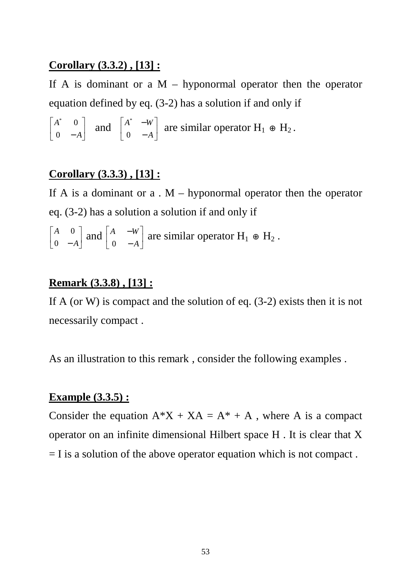#### **Corollary (3.3.2) , [13] :**

If A is dominant or a  $M -$  hyponormal operator then the operator equation defined by eq. (3-2) has a solution if and only if

$$
\begin{bmatrix} A^* & 0 \\ 0 & -A \end{bmatrix}
$$
 and 
$$
\begin{bmatrix} A^* & -W \\ 0 & -A \end{bmatrix}
$$
 are similar operator  $H_1 \oplus H_2$ .

#### **Corollary (3.3.3) , [13] :**

If A is a dominant or  $a \cdot M$  – hyponormal operator then the operator eq. (3-2) has a solution a solution if and only if

$$
\begin{bmatrix} A & 0 \\ 0 & -A \end{bmatrix}
$$
 and 
$$
\begin{bmatrix} A & -W \\ 0 & -A \end{bmatrix}
$$
 are similar operator  $H_1 \oplus H_2$ .

#### **Remark (3.3.8) , [13] :**

If A (or W) is compact and the solution of eq.  $(3-2)$  exists then it is not necessarily compact .

As an illustration to this remark, consider the following examples.

#### **Example (3.3.5) :**

Consider the equation  $A^*X + XA = A^* + A$ , where A is a compact operator on an infinite dimensional Hilbert space H . It is clear that X  $=$  I is a solution of the above operator equation which is not compact.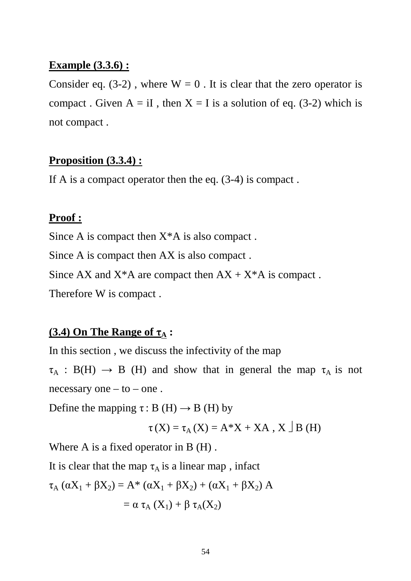#### **Example (3.3.6) :**

Consider eq. (3-2), where  $W = 0$ . It is clear that the zero operator is compact. Given  $A = iI$ , then  $X = I$  is a solution of eq. (3-2) which is not compact .

#### **Proposition (3.3.4) :**

If A is a compact operator then the eq. (3-4) is compact .

#### **Proof :**

Since A is compact then  $X^*A$  is also compact.

Since A is compact then AX is also compact .

Since AX and  $X^*A$  are compact then  $AX + X^*A$  is compact.

Therefore W is compact .

#### **(3.4) On The Range of τA :**

In this section , we discuss the infectivity of the map

 $\tau_A : B(H) \rightarrow B$  (H) and show that in general the map  $\tau_A$  is not necessary one  $-$  to  $-$  one.

Define the mapping  $\tau$ : B (H)  $\rightarrow$  B (H) by

$$
\tau(X) = \tau_A(X) = A^*X + XA, X \cup B(H)
$$

Where A is a fixed operator in B (H).

It is clear that the map  $\tau_A$  is a linear map, infact

$$
\tau_{A} (\alpha X_{1} + \beta X_{2}) = A^* (\alpha X_{1} + \beta X_{2}) + (\alpha X_{1} + \beta X_{2}) A
$$

$$
= \alpha \tau_{A} (X_{1}) + \beta \tau_{A} (X_{2})
$$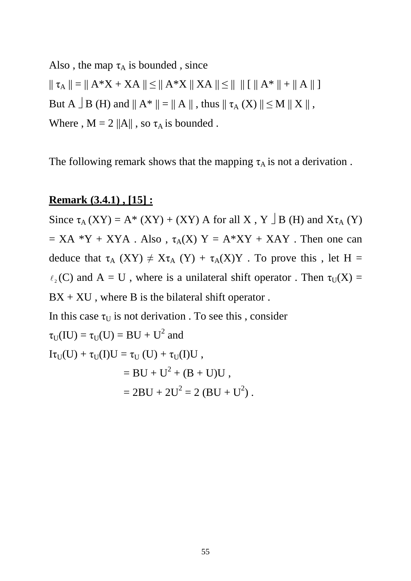Also, the map  $\tau_A$  is bounded, since  $|| \tau_A || = || A^*X + XA || \le || A^*X || XA || \le || || || A^* || + || A || ]$ But A  $\exists$  B (H) and  $\parallel$  A\*  $\parallel$  =  $\parallel$  A  $\parallel$  , thus  $\parallel$   $\tau_A$  (X)  $\parallel$   $\leq$  M  $\parallel$  X  $\parallel$  , Where ,  $M = 2 ||A||$ , so  $\tau_A$  is bounded.

The following remark shows that the mapping  $\tau_A$  is not a derivation.

#### **Remark (3.4.1) , [15] :**

Since  $\tau_A$  (XY) = A\* (XY) + (XY) A for all X, Y  $\Box$  B (H) and X $\tau_A$  (Y)  $= XA *Y + XYA$ . Also,  $\tau_A(X) Y = A * XY + XAY$ . Then one can deduce that  $\tau_A$  (XY)  $\neq X\tau_A$  (Y) +  $\tau_A$ (X)Y. To prove this, let H =  $\ell_2(C)$  and A = U, where is a unilateral shift operator. Then  $\tau_U(X)$  =  $BX + XU$ , where B is the bilateral shift operator.

In this case  $\tau_{\text{U}}$  is not derivation . To see this, consider  $\tau_U(IU) = \tau_U(U) = BU + U^2$  and  $I\tau_U(U)+\tau_U(I)U=\tau_U\left(U\right)+\tau_U(I)U$  ,  $=$  BU + U<sup>2</sup> + (B + U)U,  $= 2BU + 2U^2 = 2 (BU + U^2)$ .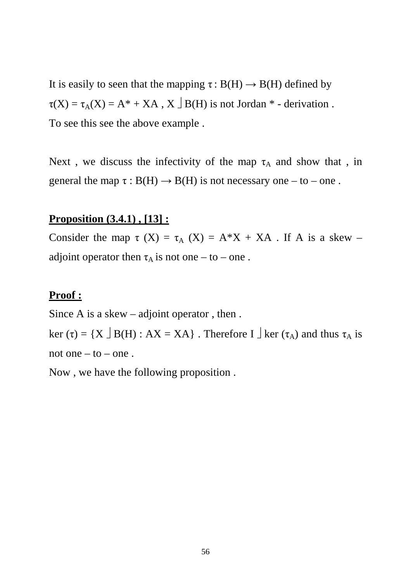It is easily to seen that the mapping  $\tau : B(H) \rightarrow B(H)$  defined by  $\tau(X) = \tau_A(X) = A^* + XA$ ,  $X \perp B(H)$  is not Jordan  $*$  - derivation. To see this see the above example .

Next, we discuss the infectivity of the map  $\tau_A$  and show that, in general the map  $\tau : B(H) \to B(H)$  is not necessary one – to – one.

#### **Proposition (3.4.1) , [13] :**

Consider the map  $\tau$  (X) =  $\tau_A$  (X) = A\*X + XA. If A is a skew – adjoint operator then  $\tau_A$  is not one – to – one.

#### **Proof :**

Since A is a skew – adjoint operator , then . ker (τ) = {X  $\exists$  B(H) : AX = XA}. Therefore I  $\exists$  ker (τ<sub>A</sub>) and thus τ<sub>A</sub> is not one  $-$  to  $-$  one.

Now , we have the following proposition .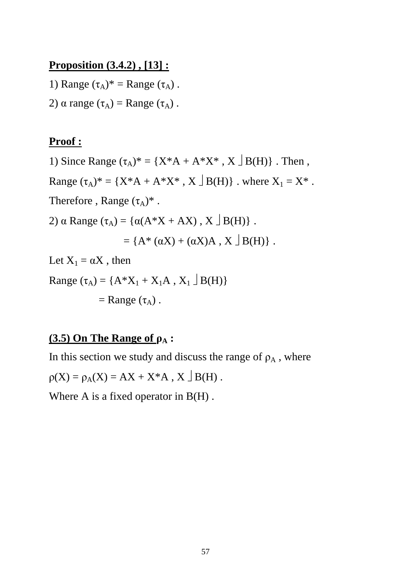#### **Proposition (3.4.2) , [13] :**

1) Range  $(\tau_A)^*$  = Range  $(\tau_A)$ .

2)  $\alpha$  range  $(\tau_A)$  = Range  $(\tau_A)$ .

#### **Proof :**

1) Since Range  $(\tau_A)^* = \{X^*A + A^*X^* , X \cup B(H)\}\$ . Then, Range  $(\tau_A)^* = \{X^*A + A^*X^* , X \cup B(H)\}\$ . where  $X_1 = X^*$ . Therefore, Range  $(\tau_A)^*$ . 2)  $\alpha$  Range  $(\tau_A) = {\alpha(A*X + AX), X \mid B(H)}.$  $=\{A^*(\alpha X) + (\alpha X)A, X \mid B(H)\}\.$ Let  $X_1 = \alpha X$ , then

Range  $(\tau_A) = \{A^*X_1 + X_1A, X_1 \cup B(H)\}$  $=$  Range  $(\tau_A)$ .

# **(3.5) On The Range of ρA :**

In this section we study and discuss the range of  $\rho_A$ , where  $\rho(X) = \rho_A(X) = AX + X^*A, X \cup B(H)$ . Where A is a fixed operator in  $B(H)$ .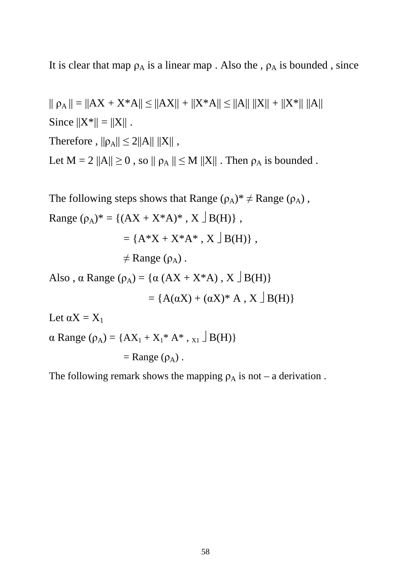It is clear that map  $\rho_A$  is a linear map . Also the ,  $\rho_A$  is bounded, since

 $|| \rho_A || = ||AX + X^*A|| \le ||AX|| + ||X^*A|| \le ||A|| ||X|| + ||X^*|| ||A||$ Since  $||X^*|| = ||X||$ . Therefore,  $||\rho_A|| \leq 2||A|| ||X||$ , Let  $M = 2 ||A|| \ge 0$ , so  $|| \rho_A || \le M ||X||$ . Then  $\rho_A$  is bounded.

The following steps shows that Range  $(\rho_A)^* \neq \text{Range}(\rho_A)$ , Range  $(\rho_A)^* = \{(AX + X^*A)^* , X \cup B(H)\}\,$  $= {A^*X + X^*A^* , X |B(H)}$  $\neq$  Range ( $\rho_A$ ). Also,  $\alpha$  Range ( $\rho_A$ ) = { $\alpha$  (AX + X\*A), X  $\exists$  B(H)}  $= {A(\alpha X) + (\alpha X)^* A, X \mid B(H)}$ Let  $\alpha X = X_1$ 

 $\alpha$  Range ( $\rho_A$ ) = {AX<sub>1</sub> + X<sub>1</sub><sup>\*</sup> A<sup>\*</sup>, x<sub>1</sub>  $\exists$  B(H)}

 $=$  Range  $(\rho_A)$ .

The following remark shows the mapping  $\rho_A$  is not – a derivation.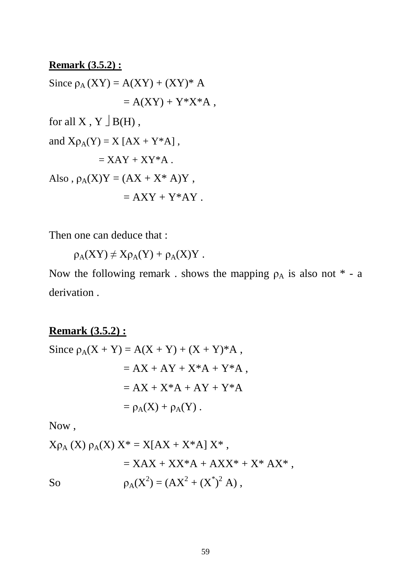# **Remark (3.5.2) :** Since  $\rho_A$  (XY) = A(XY) + (XY)<sup>\*</sup> A  $= A(XY) + Y^*X^*A$ , for all X, Y  $\exists$  B(H), and  $X\rho_A(Y) = X [AX + Y^*A],$  $=$  XAY + XY\*A. Also,  $\rho_A(X)Y = (AX + X^* A)Y$ ,  $= AXY + Y^*AY$ .

Then one can deduce that :

 $\rho_A(XY) \neq X\rho_A(Y) + \rho_A(X)Y$ .

Now the following remark. shows the mapping  $\rho_A$  is also not  $*$  - a derivation .

# **Remark (3.5.2) :**

Since 
$$
\rho_A(X + Y) = A(X + Y) + (X + Y)^*A
$$
,  
\n
$$
= AX + AY + X^*A + Y^*A
$$
\n
$$
= AX + X^*A + AY + Y^*A
$$
\n
$$
= \rho_A(X) + \rho_A(Y).
$$

Now ,

Xρ<sub>A</sub> (X) ρ<sub>A</sub>(X) X\* = X[AX + X\*A] X\*,  
= XAX + XX\*A + AXX\* + X\* AX\*,  
So  

$$
ρA(X2) = (AX2 + (X*)2 A),
$$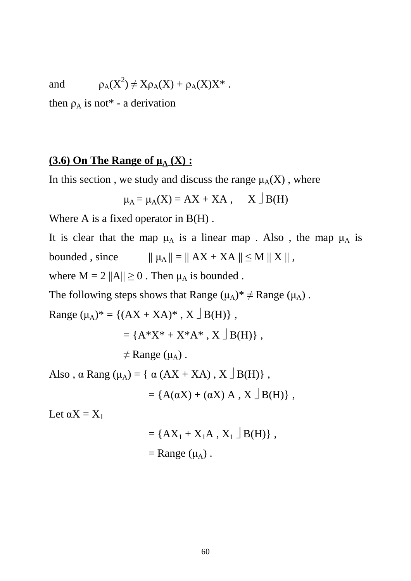and

$$
\rho_A(X^2) \neq X\rho_A(X) + \rho_A(X)X^*.
$$

then  $\rho_A$  is not\* - a derivation

#### **(3.6)** On The Range of  $\mu_A$  (X) :

In this section , we study and discuss the range  $\mu_A(X)$  , where

$$
\mu_A = \mu_A(X) = AX + XA
$$
, X  $\perp$  B(H)

Where A is a fixed operator in  $B(H)$ .

It is clear that the map  $\mu_A$  is a linear map . Also, the map  $\mu_A$  is bounded, since  $|| \mu_A || = || AX + XA || \le M || X ||$ , where  $M = 2 ||A|| \ge 0$ . Then  $\mu_A$  is bounded.

The following steps shows that Range  $(\mu_A)^* \neq \text{Range}(\mu_A)$ .

Range  $(\mu_A)^* = \{(AX + XA)^* , X \cup B(H)\}\,$ 

$$
= \{A^*X^* + X^*A^* , X \cup B(H)\},
$$

 $\neq$  Range ( $\mu$ <sub>A</sub>).

Also,  $\alpha$  Rang ( $\mu_A$ ) = {  $\alpha$  (AX + XA), X  $\exists$  B(H)},

$$
= \{A(\alpha X) + (\alpha X) A, X \mid B(H)\},
$$

Let  $\alpha X = X_1$ 

$$
= \{AX_1 + X_1A, X_1 \square B(H)\},
$$

$$
= Range (\mu_A).
$$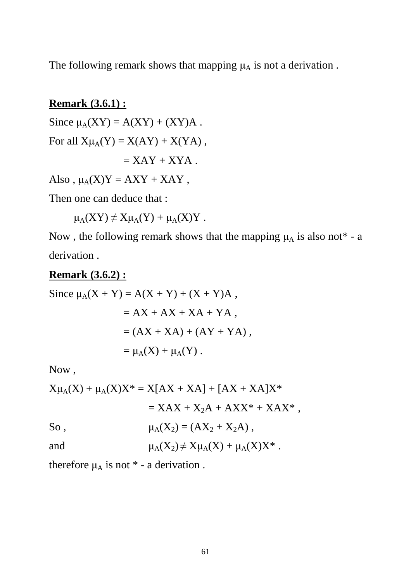The following remark shows that mapping  $\mu_A$  is not a derivation.

#### **Remark (3.6.1) :**

Since  $\mu_A(XY) = A(XY) + (XY)A$ . For all  $X\mu_A(Y) = X(AY) + X(YA)$ ,  $=$  XAY + XYA.

Also,  $\mu_A(X)Y = AXY + XAY$ ,

Then one can deduce that :

 $\mu_A(XY) \neq X\mu_A(Y) + \mu_A(X)Y$ .

Now, the following remark shows that the mapping  $\mu_A$  is also not\* - a derivation .

#### **Remark (3.6.2) :**

Since  $\mu_A(X + Y) = A(X + Y) + (X + Y)A$ ,  $= AX + AX + XA + YA$ .  $= (AX + XA) + (AY + YA)$ ,  $=\mu_{\mathcal{A}}(X) + \mu_{\mathcal{A}}(Y)$ .

Now ,

$$
X\mu_{A}(X) + \mu_{A}(X)X^* = X[AX + XA] + [AX + XA]X^*
$$
  
=  $XAX + X_2A + AXX^* + XAX^*$ ,  
So,  

$$
\mu_{A}(X_2) = (AX_2 + X_2A),
$$
  
and  

$$
\mu_{A}(X_2) \neq X\mu_{A}(X) + \mu_{A}(X)X^*.
$$

therefore  $\mu_A$  is not  $*$  - a derivation.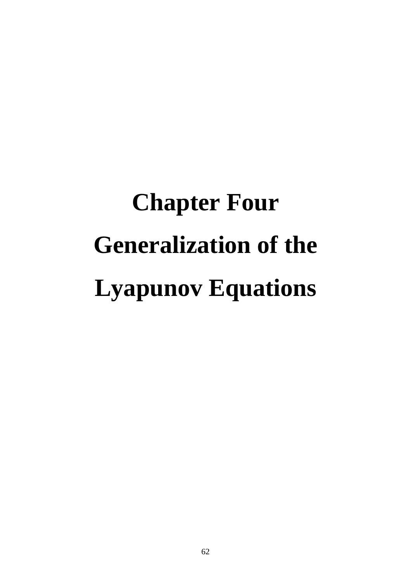# **Chapter Four Generalization of the Lyapunov Equations**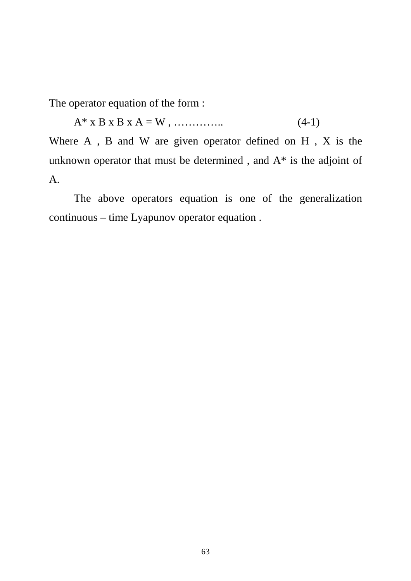The operator equation of the form :

 $A^*$  x B x B x A = W , …………….. (4-1)

Where A , B and W are given operator defined on H , X is the unknown operator that must be determined , and A\* is the adjoint of A.

 The above operators equation is one of the generalization continuous – time Lyapunov operator equation .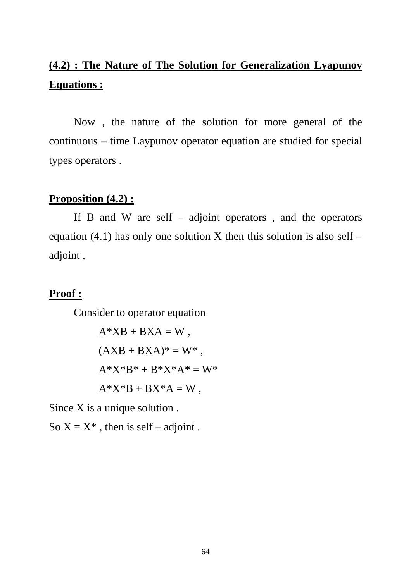# **(4.2) : The Nature of The Solution for Generalization Lyapunov Equations :**

 Now , the nature of the solution for more general of the continuous – time Laypunov operator equation are studied for special types operators .

#### **Proposition (4.2) :**

If B and W are self – adjoint operators, and the operators equation (4.1) has only one solution X then this solution is also self – adjoint ,

#### **Proof :**

Consider to operator equation

$$
A*XB + BXA = W,
$$
  
\n
$$
(AXB + BXA)^* = W^*,
$$
  
\n
$$
A*X*B^* + B*X^*A^* = W^*
$$
  
\n
$$
A*X*B + BX^*A = W,
$$

Since X is a unique solution .

So  $X = X^*$ , then is self – adjoint.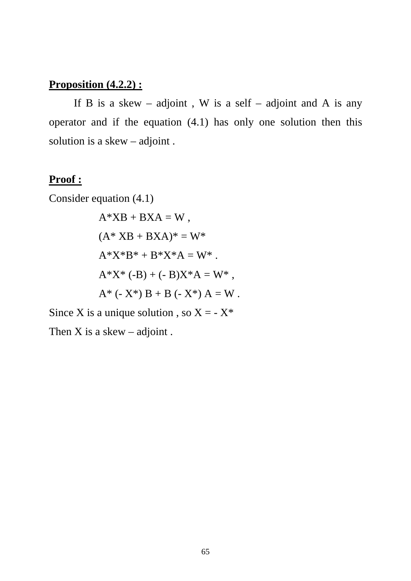# **Proposition (4.2.2) :**

If B is a skew – adjoint, W is a self – adjoint and A is any operator and if the equation (4.1) has only one solution then this solution is a skew – adjoint .

# **Proof :**

Consider equation (4.1)

$$
A*XB + BXA = W,
$$
  
\n
$$
(A*XB + BXA)^* = W*
$$
  
\n
$$
A*X*B^* + B*X*A = W^*.
$$
  
\n
$$
A*X^* (-B) + (-B)X*A = W^*,
$$
  
\n
$$
A^* (-X^*) B + B (-X^*) A = W.
$$

Since X is a unique solution, so  $X = -X^*$ 

Then  $X$  is a skew – adjoint.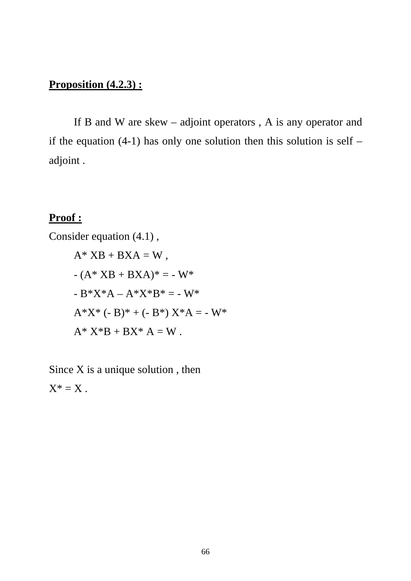# **Proposition (4.2.3) :**

 If B and W are skew – adjoint operators , A is any operator and if the equation  $(4-1)$  has only one solution then this solution is self – adjoint .

#### **Proof :**

Consider equation (4.1) ,  $A^*$  XB + BXA = W,  $-(A^* XB + BXA)^* = -W^*$  $-B^*X^*A - A^*X^*B^* = -W^*$  $A^*X^* (-B)^* + (-B^*) X^*A = -W^*$  $A^* X^*B + BX^* A = W$ .

Since  $X$  is a unique solution, then  $X^* = X$ .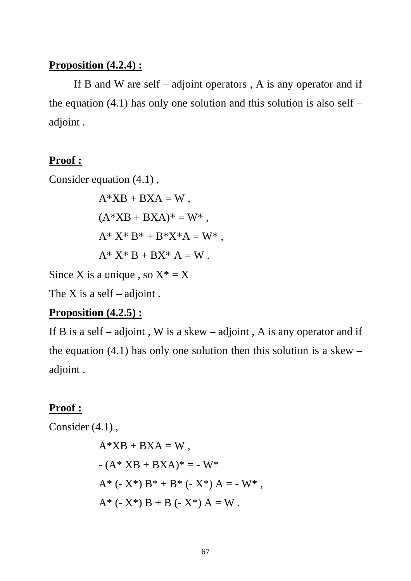#### **Proposition (4.2.4) :**

If B and W are self  $-$  adjoint operators, A is any operator and if the equation  $(4.1)$  has only one solution and this solution is also self – adjoint .

#### **Proof :**

Consider equation (4.1) ,

$$
A*XB + BXA = W,
$$
  
\n
$$
(A*XB + BXA)* = W*,
$$
  
\n
$$
A*X*B* + B*X*A = W*,
$$
  
\n
$$
A*X*B + BX*A = W.
$$

Since X is a unique, so  $X^* = X$ 

The X is a self – adjoint.

#### **Proposition (4.2.5) :**

If B is a self – adjoint, W is a skew – adjoint, A is any operator and if the equation  $(4.1)$  has only one solution then this solution is a skew – adjoint .

#### **Proof :**

Consider (4.1) ,

$$
A*XB + BXA = W,
$$
  
- (A\*XB + BXA)\* = -W\*  

$$
A* (-X*) B* + B* (-X*) A = -W*,
$$
  

$$
A* (-X*) B + B (-X*) A = W.
$$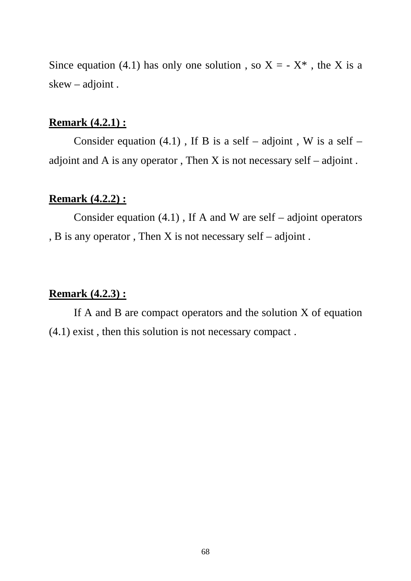Since equation (4.1) has only one solution, so  $X = -X^*$ , the X is a skew – adjoint .

# **Remark (4.2.1) :**

Consider equation (4.1), If B is a self – adjoint, W is a self – adjoint and A is any operator, Then X is not necessary self  $-$  adjoint.

#### **Remark (4.2.2) :**

Consider equation  $(4.1)$ , If A and W are self – adjoint operators , B is any operator , Then X is not necessary self – adjoint .

#### **Remark (4.2.3) :**

If A and B are compact operators and the solution  $X$  of equation (4.1) exist , then this solution is not necessary compact .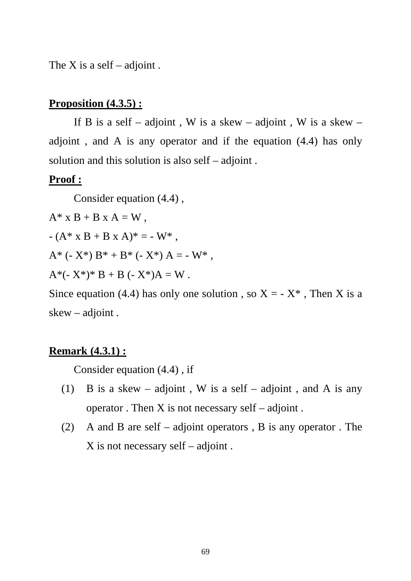The X is a self – adjoint.

#### **Proposition (4.3.5) :**

If B is a self – adjoint, W is a skew – adjoint, W is a skew – adjoint , and A is any operator and if the equation (4.4) has only solution and this solution is also self – adjoint .

#### **Proof :**

Consider equation (4.4) ,

 $A^*$  x B + B x A = W,

 $-(A^* \times B + B \times A)^* = -W^*$ ,

A\* (- X\*)  $B^* + B^*$  (- X\*) A = - W\*.

 $A^*(-X^*)^* B + B (-X^*)A = W$ .

Since equation (4.4) has only one solution, so  $X = -X^*$ , Then X is a skew – adjoint .

#### **Remark (4.3.1) :**

Consider equation (4.4) , if

- (1) B is a skew adjoint, W is a self adjoint, and A is any operator . Then  $X$  is not necessary self – adjoint.
- (2) A and B are self adjoint operators , B is any operator . The X is not necessary self – adjoint .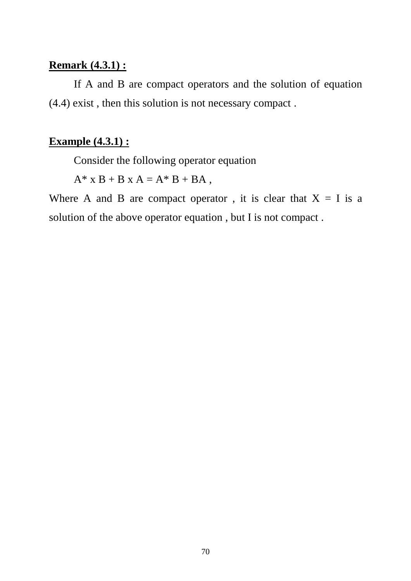#### **Remark (4.3.1) :**

 If A and B are compact operators and the solution of equation (4.4) exist , then this solution is not necessary compact .

#### **Example (4.3.1) :**

Consider the following operator equation

 $A^*$  x B + B x A =  $A^*$  B + BA,

Where A and B are compact operator, it is clear that  $X = I$  is a solution of the above operator equation , but I is not compact .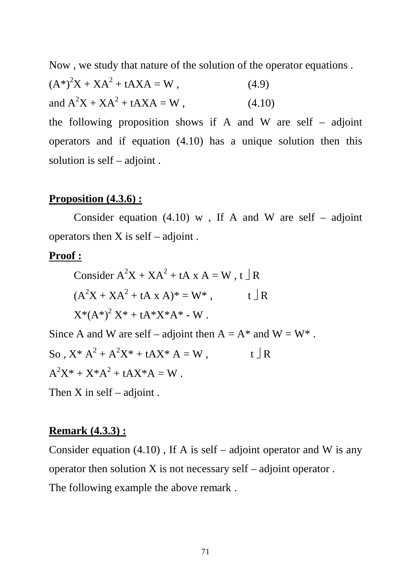Now , we study that nature of the solution of the operator equations .

$$
(A^*)^2 X + XA^2 + tAXA = W,
$$
 (4.9)  
and  $A^2 X + XA^2 + tAXA = W,$  (4.10)

the following proposition shows if A and W are self – adjoint operators and if equation (4.10) has a unique solution then this solution is self – adjoint .

#### **Proposition (4.3.6) :**

Consider equation  $(4.10)$  w, If A and W are self – adjoint operators then  $X$  is self – adjoint.

#### **Proof :**

Consider 
$$
A^2X + XA^2 + tA X A = W
$$
,  $t \perp R$   
\n $(A^2X + XA^2 + tA X A)^* = W^*$ ,  $t \perp R$   
\n $X^*(A^*)^2 X^* + tA^*X^*A^* - W$ .

Since A and W are self – adjoint then  $A = A^*$  and  $W = W^*$ . So,  $X^* A^2 + A^2 X^* + t A X^* A = W$ ,  $t \perp R$  $A^2X^* + X^*A^2 + tAX^*A = W$ .

Then  $X$  in self – adjoint.

#### **Remark (4.3.3) :**

Consider equation  $(4.10)$ , If A is self – adjoint operator and W is any operator then solution  $X$  is not necessary self – adjoint operator. The following example the above remark .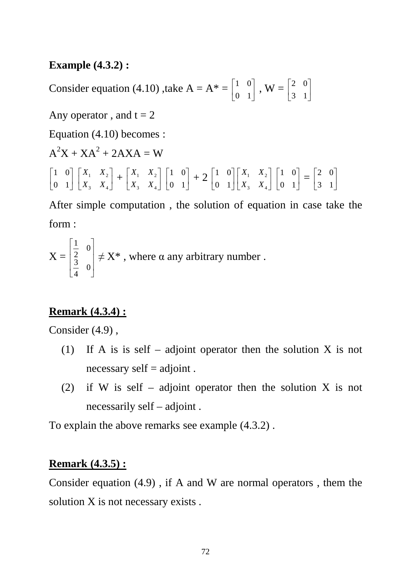#### **Example (4.3.2) :**

Consider equation (4.10) ,take  $A = A^* = \begin{bmatrix} 1 & 0 \\ 0 & 1 \end{bmatrix}$  $\rfloor$ 1  $\mathsf{L}$ L Г 0 1  $\begin{bmatrix} 1 & 0 \\ 0 & 1 \end{bmatrix}$ ,  $\mathbf{W} = \begin{bmatrix} 2 & 0 \\ 2 & 1 \end{bmatrix}$  $\rfloor$ 1  $\mathbf{r}$ L Γ 3 1  $\begin{bmatrix} 2 & 0 \\ 2 & 1 \end{bmatrix}$ Any operator, and  $t = 2$ Equation (4.10) becomes :  $A^2X + XA^2 + 2AXA = W$  $\overline{\phantom{a}}$  $\rfloor$ 1  $\mathsf{L}$ L Г 0 1 1 0  $\overline{\phantom{a}}$  $\rfloor$ 1  $\mathbf{r}$ L  $\lceil$ 3  $\Lambda_4$ 1  $\mathbf{A}_2$  $X_3$  *X*  $\begin{bmatrix} X_1 & X_2 \ Y & Y \end{bmatrix} + \begin{bmatrix} X_1 & X_2 \ Y & Y \end{bmatrix}$  $\rfloor$ ⅂  $\mathsf{L}$ L Γ 3  $\Lambda_4$  $1 \quad \mathbf{A}_2$  $X_3$  *X*  $X_1$  *X*  $\overline{\phantom{a}}$  $\rfloor$ 1  $\mathsf{I}$ L Γ 0 1  $\begin{bmatrix} 1 & 0 \\ 0 & 1 \end{bmatrix} + 2 \begin{bmatrix} 1 & 0 \\ 0 & 1 \end{bmatrix}$  $\overline{\phantom{a}}$ 1  $\mathsf{L}$ L Г 0 1 1 0  $\overline{\phantom{a}}$  $\rfloor$ 1  $\mathbf{r}$ L  $\lceil$  $3 \times 4$ 1  $\mathbf{A}_2$  $X_3$  *X*  $X_1$  *X*  $\overline{\phantom{a}}$  $\rfloor$ ⅂  $\mathsf{L}$ L Г 0 1  $\begin{bmatrix} 1 & 0 \\ 0 & 1 \end{bmatrix} = \begin{bmatrix} 2 & 0 \\ 2 & 1 \end{bmatrix}$  $\mathsf{L}$ L Г 3 1 2 0

After simple computation , the solution of equation in case take the form :

 $\rfloor$ 

1

$$
X = \begin{bmatrix} \frac{1}{2} & 0 \\ \frac{3}{4} & 0 \end{bmatrix} \neq X^*
$$
, where  $\alpha$  any arbitrary number.

# **Remark (4.3.4) :**

Consider (4.9) ,

- (1) If A is is self adjoint operator then the solution X is not necessary self = adjoint .
- (2) if W is self adjoint operator then the solution X is not necessarily self – adjoint .

To explain the above remarks see example (4.3.2) .

# **Remark (4.3.5) :**

Consider equation (4.9) , if A and W are normal operators , them the solution X is not necessary exists.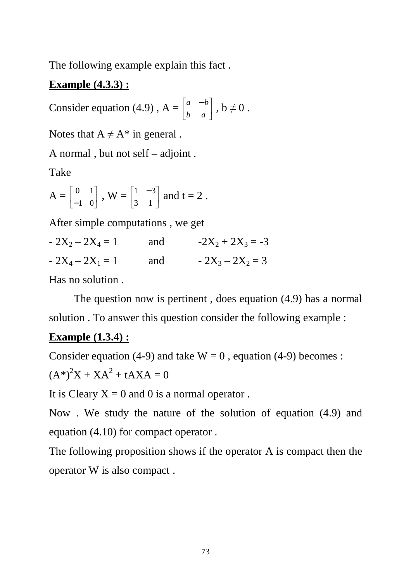The following example explain this fact .

# **Example (4.3.3) :**

Consider equation (4.9),  $A = \begin{bmatrix} a & -b \\ b & c \end{bmatrix}$  $\rfloor$ ⅂  $\mathbf{r}$ L  $\lceil a \rceil$  – *b a*  $\begin{vmatrix} a & -b \\ b & \neq 0 \end{vmatrix}$ ,  $b \neq 0$ .

Notes that  $A \neq A^*$  in general.

A normal , but not self – adjoint .

Take

 $A = \begin{bmatrix} 0 & 1 \\ 1 & 0 \end{bmatrix}$  $\rfloor$ ⅂ L L Г −1 0  $\begin{bmatrix} 0 & 1 \\ 1 & 0 \end{bmatrix}$ ,  $\mathbf{W} = \begin{bmatrix} 1 & -3 \\ 2 & 1 \end{bmatrix}$  $\rfloor$ ⅂  $\mathbf{r}$ L − 3 1  $\begin{vmatrix} 1 & -3 \\ 2 & 1 \end{vmatrix}$  and t = 2.

After simple computations , we get

 $-2X_2 - 2X_4 = 1$  and  $-2X_2 + 2X_3 = -3$  $-2X_4 - 2X_1 = 1$  and  $-2X_3 - 2X_2 = 3$ 

Has no solution .

 The question now is pertinent , does equation (4.9) has a normal solution . To answer this question consider the following example :

### **Example (1.3.4) :**

Consider equation (4-9) and take  $W = 0$ , equation (4-9) becomes :

$$
(A^*)^2 X + XA^2 + tAXA = 0
$$

It is Cleary  $X = 0$  and 0 is a normal operator.

Now . We study the nature of the solution of equation (4.9) and equation (4.10) for compact operator .

The following proposition shows if the operator A is compact then the operator W is also compact .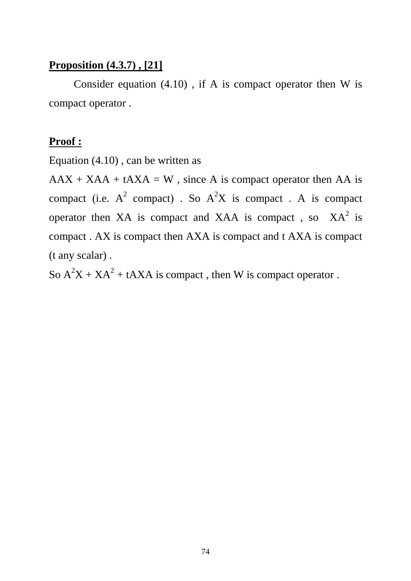### **Proposition (4.3.7) , [21]**

Consider equation  $(4.10)$ , if A is compact operator then W is compact operator .

#### **Proof :**

Equation (4.10) , can be written as

 $AAX + XAA + tAXA = W$ , since A is compact operator then AA is compact (i.e.  $A^2$  compact) . So  $A^2X$  is compact . A is compact operator then XA is compact and XAA is compact, so  $XA<sup>2</sup>$  is compact . AX is compact then AXA is compact and t AXA is compact (t any scalar) .

So  $A^2X + XA^2 + tAXA$  is compact, then W is compact operator.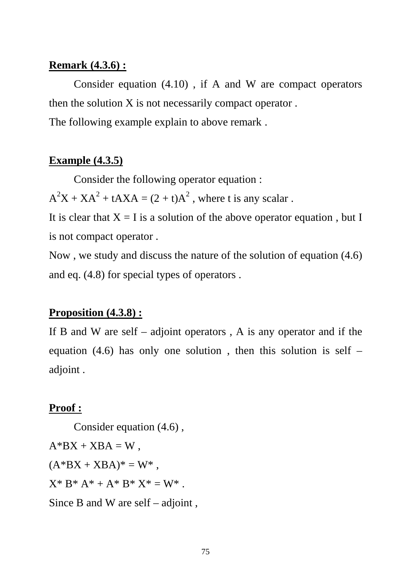#### **Remark (4.3.6) :**

 Consider equation (4.10) , if A and W are compact operators then the solution X is not necessarily compact operator . The following example explain to above remark .

#### **Example (4.3.5)**

Consider the following operator equation :

 $A^2X + XA^2 + tAXA = (2 + t)A^2$ , where t is any scalar.

It is clear that  $X = I$  is a solution of the above operator equation, but I is not compact operator .

Now , we study and discuss the nature of the solution of equation (4.6) and eq. (4.8) for special types of operators .

#### **Proposition (4.3.8) :**

If B and W are self – adjoint operators, A is any operator and if the equation (4.6) has only one solution, then this solution is self – adjoint .

#### **Proof :**

 Consider equation (4.6) ,  $A*BX + XBA = W$ ,  $(A*BX + XBA)^* = W^*$ ,  $X^* B^* A^* + A^* B^* X^* = W^*$ . Since B and W are self – adjoint ,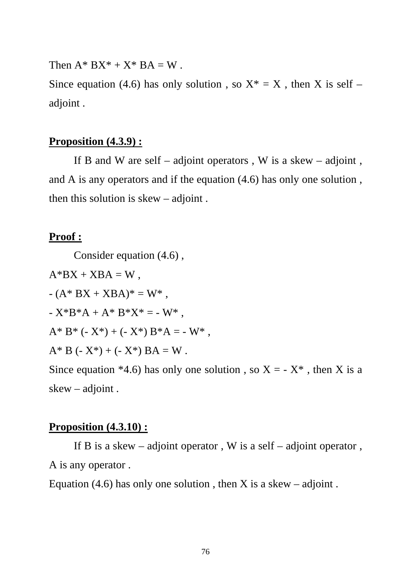Then  $A^* B X^* + X^* BA = W$ .

Since equation (4.6) has only solution, so  $X^* = X$ , then X is self – adjoint .

#### **Proposition (4.3.9) :**

If B and W are self – adjoint operators, W is a skew – adjoint, and A is any operators and if the equation (4.6) has only one solution , then this solution is skew – adjoint .

#### **Proof :**

Consider equation (4.6) ,

 $A*BX + XBA = W$ ,  $-(A^* BX + XBA)^* = W^*$ .  $-X*B*A + A*B*X* = -W*$ .  $A^* B^* (- X^*) + (- X^*) B^* A = - W^*$ ,  $A^* B (-X^*) + (-X^*) BA = W$ . Since equation \*4.6) has only one solution, so  $X = -X^*$ , then X is a skew – adjoint .

#### **Proposition (4.3.10) :**

If B is a skew – adjoint operator, W is a self – adjoint operator, A is any operator .

Equation (4.6) has only one solution, then X is a skew – adjoint.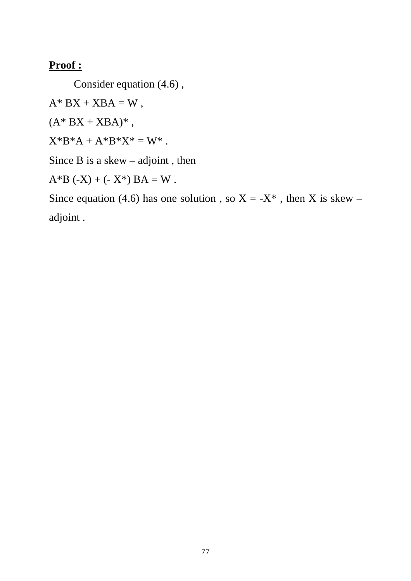#### **Proof :**

Consider equation (4.6) ,

 $A^* BX + XBA = W$ ,

 $(A^* BX + XBA)^*$ ,

 $X^*B^*A + A^*B^*X^* = W^*$ .

Since  $B$  is a skew – adjoint, then

 $A*B (-X) + (-X^*) BA = W$ .

Since equation (4.6) has one solution, so  $X = -X^*$ , then X is skew – adjoint .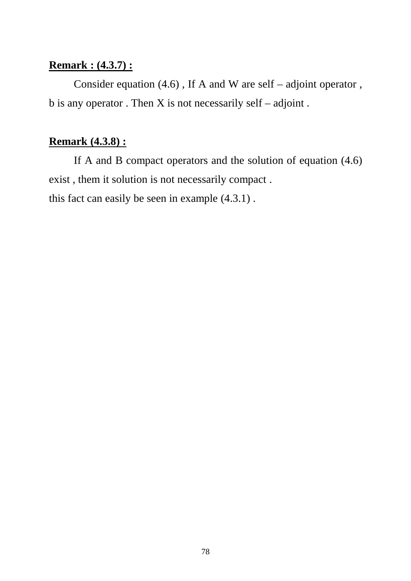#### **Remark : (4.3.7) :**

 Consider equation (4.6) , If A and W are self – adjoint operator , b is any operator . Then X is not necessarily self – adjoint .

### **Remark (4.3.8) :**

 If A and B compact operators and the solution of equation (4.6) exist , them it solution is not necessarily compact . this fact can easily be seen in example (4.3.1) .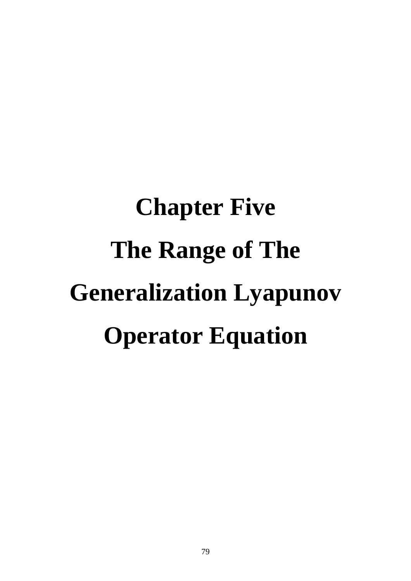# **Chapter Five The Range of The Generalization Lyapunov Operator Equation**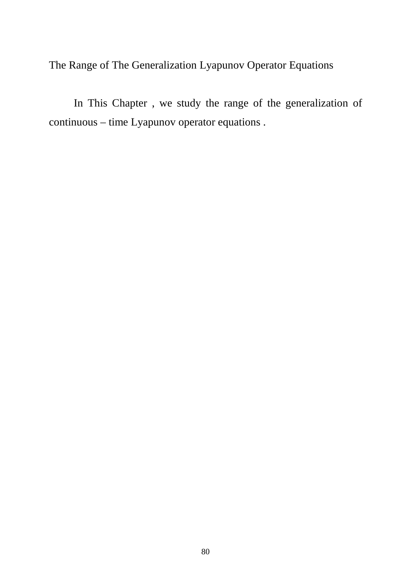The Range of The Generalization Lyapunov Operator Equations

 In This Chapter , we study the range of the generalization of continuous – time Lyapunov operator equations .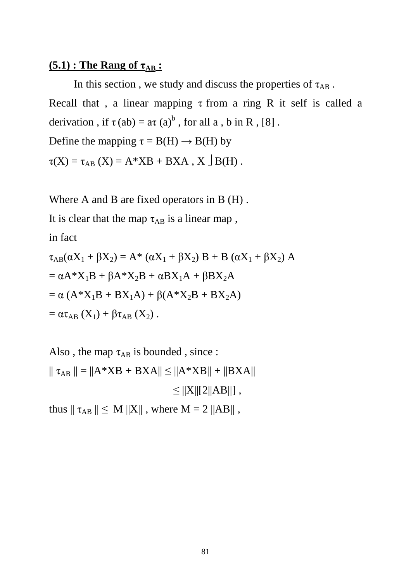#### $(5.1)$ : The Rang of  $\tau_{AB}$ :

In this section , we study and discuss the properties of  $\tau_{AB}$ . Recall that, a linear mapping  $\tau$  from a ring R it self is called a derivation, if  $\tau(ab) = a\tau(a)^b$ , for all a, b in R, [8]. Define the mapping  $\tau = B(H) \rightarrow B(H)$  by

 $\tau(X) = \tau_{AB}(X) = A^*XB + BXA, X \bigcup B(H)$ .

Where A and B are fixed operators in B (H) .

It is clear that the map  $\tau_{AB}$  is a linear map,

in fact

$$
\tau_{AB}(\alpha X_1 + \beta X_2) = A^* (\alpha X_1 + \beta X_2) B + B (\alpha X_1 + \beta X_2) A
$$
  
=  $\alpha A^* X_1 B + \beta A^* X_2 B + \alpha B X_1 A + \beta B X_2 A$   
=  $\alpha (A^* X_1 B + B X_1 A) + \beta (A^* X_2 B + B X_2 A)$   
=  $\alpha \tau_{AB} (X_1) + \beta \tau_{AB} (X_2)$ .

Also, the map  $\tau_{AB}$  is bounded, since :  $|| \tau_{AB} || = ||A*XB + BXA|| \leq ||A*XB|| + ||BXA||$  $\leq$   $||X||[2||AB||]$ ,

thus  $|| \tau_{AB} || \le M ||X||$ , where  $M = 2 ||AB||$ ,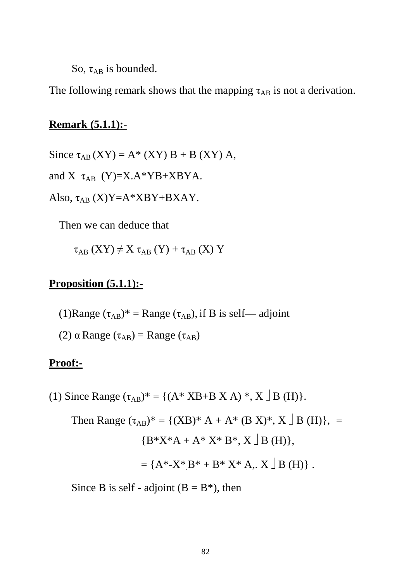So,  $\tau_{AB}$  is bounded.

The following remark shows that the mapping  $\tau_{AB}$  is not a derivation.

#### **Remark (5.1.1):-**

Since  $\tau_{AB}$  (XY) = A\* (XY) B + B (XY) A,

and X  $\tau_{AB}$  (Y)=X.A\*YB+XBYA.

Also,  $\tau_{AB}$  (X)Y=A\*XBY+BXAY.

Then we can deduce that

$$
\tau _{AB}\left( XY\right) \neq X\;\tau _{AB}\left( Y\right) +\tau _{AB}\left( X\right) \,Y
$$

#### **Proposition (5.1.1):-**

- (1)Range  $(\tau_{AB})^*$  = Range  $(\tau_{AB})$ , if B is self—adjoint
- (2)  $\alpha$  Range ( $\tau_{AB}$ ) = Range ( $\tau_{AB}$ )

#### **Proof:-**

(1) Since Range  $(\tau_{AB})^* = \{(A^* \text{ XB} + \text{B} \text{ X A})^*, \text{X } \text{B (H)}\}.$ 

Then Range  $(\tau_{AB})^* = \{ (XB)^* A + A^* (B X)^*, X \mid B(H) \},$  ${B^*}X^*A + A^*X^*B^*, X \square B (H)$ ,  $= {A^* - X^*B^* + B^*X^* A, X \mid B(H)}.$ 

Since B is self - adjoint  $(B = B^*)$ , then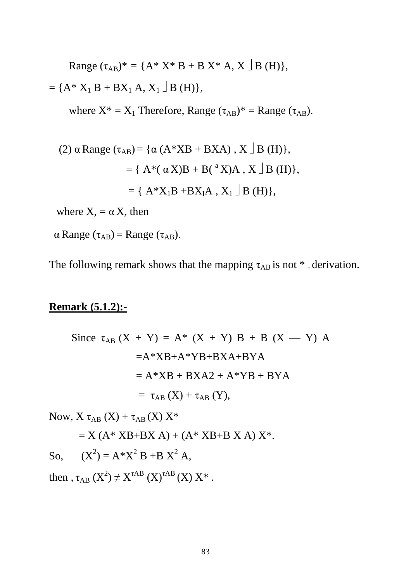Range  $(\tau_{AB})^* = \{A^* X^* B + B X^* A, X \mid B(H)\},\$ 

 $= {A^* X_1 B + BX_1 A, X_1 \underline{B} (H)},$ 

where  $X^* = X_1$  Therefore, Range  $(\tau_{AB})^* =$  Range  $(\tau_{AB})$ .

(2) 
$$
\alpha
$$
 Range ( $\tau_{AB}$ ) = { $\alpha$  (A\*XB + BXA), X  $\Box$  B (H)},  
 = { A\*( $\alpha$ X)B + B( $\alpha$ X)A, X  $\Box$  B (H)},  
 = { A\*X<sub>1</sub>B + BX<sub>I</sub>A, X<sub>1</sub>  $\Box$  B (H)},

where  $X = \alpha X$ , then

 $\alpha$  Range ( $\tau_{AB}$ ) = Range ( $\tau_{AB}$ ).

The following remark shows that the mapping  $\tau_{AB}$  is not  $*$  derivation.

#### **Remark (5.1.2):-**

Since 
$$
\tau_{AB} (X + Y) = A^* (X + Y) B + B (X - Y) A
$$
  
=  $A^*XB + A^*YB + BXA + BYA$   
=  $A^*XB + BXA2 + A^*YB + BYA$   
=  $\tau_{AB} (X) + \tau_{AB} (Y)$ ,

Now,  $X \tau_{AB}(X) + \tau_{AB}(X) X^*$ 

 $= X (A^* XB + BX A) + (A^* XB + B X A) X^*.$ 

So,  $(X^2) = A^* X^2 B + B X^2 A$ ,

then ,  $\tau_{AB}$   $(X^2) \neq X^{\tau AB}$   $(X)^{\tau AB}$   $(X)$   $X^*$  .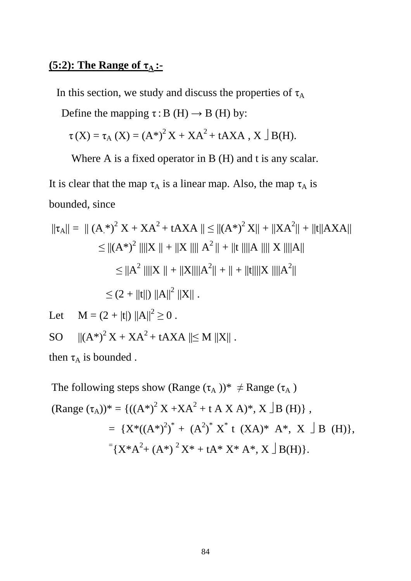# **(5:2): The Range of τ<sup>A</sup> :-**

In this section, we study and discuss the properties of  $\tau_A$ 

Define the mapping  $\tau$ : B (H)  $\rightarrow$  B (H) by:

 $\tau(X) = \tau_A(X) = (A^*)^2 X + XA^2 + tAXA, X \bigcup B(H).$ 

Where A is a fixed operator in B (H) and t is any scalar.

It is clear that the map  $\tau_A$  is a linear map. Also, the map  $\tau_A$  is bounded, since

$$
\|\tau_{A}\| = \| (A_{.}^{*})^{2} X + XA^{2} + tAXA \| \leq \| (A^{*})^{2} X \| + \| XA^{2} \| + \| t \| AXA \|
$$
  
\n
$$
\leq \| (A^{*})^{2} \| \| X \| + \| X \| \| A^{2} \| + \| t \| \| A \| \| X \| \| A \|
$$
  
\n
$$
\leq \| A^{2} \| \| X \| + \| X \| \| A^{2} \| + \| + \| t \| \| X \| \| A^{2} \|
$$
  
\n
$$
\leq (2 + \| t \|) \| A \|^{2} \| X \| .
$$

Let  $\mathbf{M} = (2 + |t|) ||A||^2 \ge 0$ .

SO  $||(A^*)^2X + XA^2 + tAXA|| \leq M ||X||$ .

then  $\tau_A$  is bounded.

The following steps show (Range  $(\tau_A)$ )\*  $\neq$  Range  $(\tau_A)$  $(Range (\tau_A))^* = \{ ((A^*)^2 X + XA^2 + t A X A)^*, X \exists B (H) \},$  $= \{X^*((A^*)^2)^* + (A^2)^* X^* \t(XA)^* A^*, X \rB (H)\},\$  $=\{X^*A^2+(A^*)^2X^*+tA^*X^*A^*, X\}\,B(H)\}.$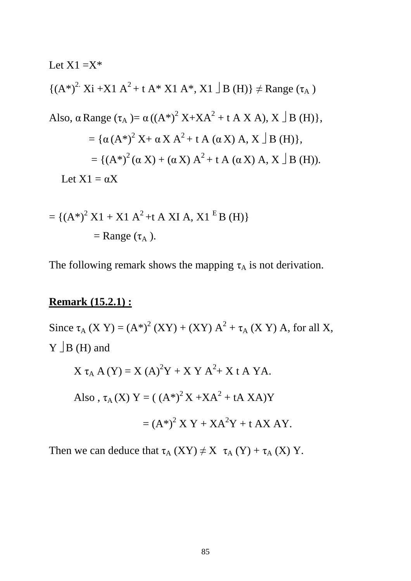Let X1 =X\*  
\n
$$
\{(A^*)^2 \cdot Xi + X1 A^2 + t A^* X1 A^* , X1 \mid B(H)\}\neq Range (\tau_A)
$$
  
\nAlso,  $\alpha Range (\tau_A) = \alpha ((A^*)^2 X + XA^2 + t A X A), X \mid B(H)\},$   
\n $= \{\alpha (A^*)^2 X + \alpha X A^2 + t A (\alpha X) A, X \mid B(H)\},$   
\n $= \{(A^*)^2 (\alpha X) + (\alpha X) A^2 + t A (\alpha X) A, X \mid B(H)\}.$   
\nLet X1 =  $\alpha X$ 

$$
= \{ (A^*)^2 X1 + X1 A^2 + t A XI A, X1^E B (H) \}
$$
  
= Range ( $\tau_A$ ).

The following remark shows the mapping  $\tau_A$  is not derivation.

# **Remark (15.2.1) :**

Since  $\tau_A$  (X Y) = (A\*)<sup>2</sup> (XY) + (XY) A<sup>2</sup> +  $\tau_A$  (X Y) A, for all X,  $Y \rfloor B$  (H) and

$$
X \tau_A A(Y) = X (A)^2 Y + X Y A^2 + X t A Y A.
$$
  
Also,  $\tau_A(X) Y = ((A^*)^2 X + XA^2 + tA XA)Y$   
 $= (A^*)^2 X Y + XA^2 Y + t A X A Y.$ 

Then we can deduce that  $\tau_A$  (XY)  $\neq$  X  $\tau_A$  (Y) +  $\tau_A$  (X) Y.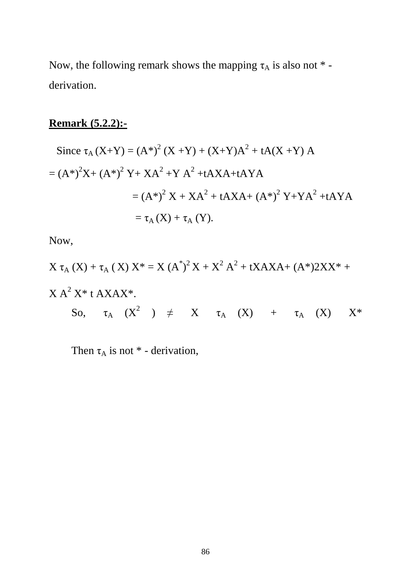Now, the following remark shows the mapping  $\tau_A$  is also not  $*$  derivation.

# **Remark (5.2.2):-**

Since 
$$
\tau_A (X+Y) = (A^*)^2 (X+Y) + (X+Y)A^2 + tA(X+Y) A
$$
  
\n
$$
= (A^*)^2 X + (A^*)^2 Y + XA^2 + Y A^2 + tAXA + tAYA
$$
\n
$$
= (A^*)^2 X + XA^2 + tAXA + (A^*)^2 Y + YA^2 + tAYA
$$
\n
$$
= \tau_A (X) + \tau_A (Y).
$$

Now,

$$
X \tau_A (X) + \tau_A (X) X^* = X (A^*)^2 X + X^2 A^2 + tXAXA + (A^*)2XX^* + X A^2 X^* t AXAX^*.
$$
  
So,  $\tau_A (X^2) \neq X \tau_A (X) + \tau_A (X) X^*$ 

Then  $\tau_A$  is not  $*$  - derivation,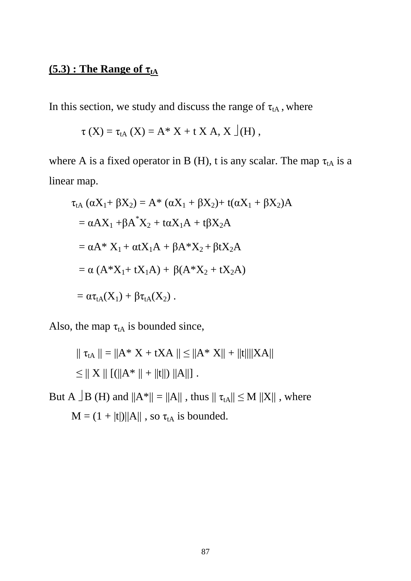# **(5.3) : The Range of τtA**

In this section, we study and discuss the range of  $\tau_{tA}$ , where

$$
\tau
$$
 (X) =  $\tau_{tA}$  (X) = A\* X + t X A, X  $\rfloor$ (H),

where A is a fixed operator in B (H), t is any scalar. The map  $\tau_{tA}$  is a linear map.

$$
\tau_{tA} (\alpha X_{1} + \beta X_{2}) = A^{*} (\alpha X_{1} + \beta X_{2}) + t(\alpha X_{1} + \beta X_{2})A
$$
  
=  $\alpha A X_{1} + \beta A^{*} X_{2} + t\alpha X_{1} A + t\beta X_{2} A$   
=  $\alpha A^{*} X_{1} + \alpha t X_{1} A + \beta A^{*} X_{2} + \beta t X_{2} A$   
=  $\alpha (A^{*} X_{1} + tX_{1} A) + \beta (A^{*} X_{2} + tX_{2} A)$   
=  $\alpha \tau_{tA}(X_{1}) + \beta \tau_{tA}(X_{2})$ .

Also, the map  $\tau_{tA}$  is bounded since,

$$
\| \tau_{tA} \| = \| A^* X + tXA \| \le \| A^* X \| + \| t \| \| XA \|
$$
  

$$
\le \| X \| \left[ ( \| A^* \| + \| t \| ) \| A \| \right].
$$

But A  $\vert$ B (H) and  $\Vert A^*\Vert = \Vert A\Vert$ , thus  $\Vert \tau_{tA}\Vert \leq M$   $\Vert X\Vert$ , where  $M = (1 + |t|)||A||$ , so  $\tau_{tA}$  is bounded.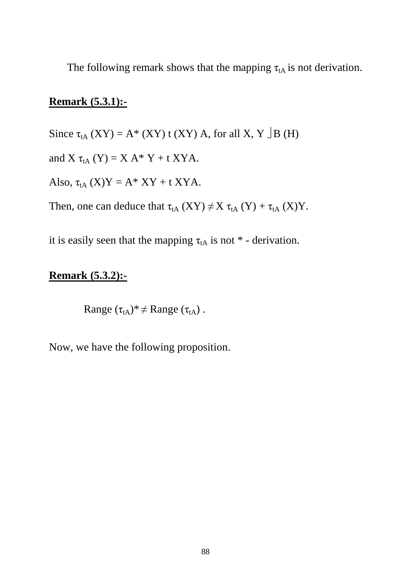The following remark shows that the mapping  $\tau_{tA}$  is not derivation.

#### **Remark (5.3.1):-**

Since  $\tau_{tA}$  (XY) = A\* (XY) t (XY) A, for all X, Y  $\vert$ B (H)

and X  $\tau_{tA}$  (Y) = X A\* Y + t XYA.

Also,  $\tau_{tA}$  (X)Y = A\* XY + t XYA.

Then, one can deduce that  $\tau_{tA}(XY) \neq X \tau_{tA}(Y) + \tau_{tA}(X)Y$ .

it is easily seen that the mapping  $\tau_{tA}$  is not  $*$  - derivation.

#### **Remark (5.3.2):-**

Range  $(\tau_{tA})^* \neq \text{Range}(\tau_{tA})$ .

Now, we have the following proposition.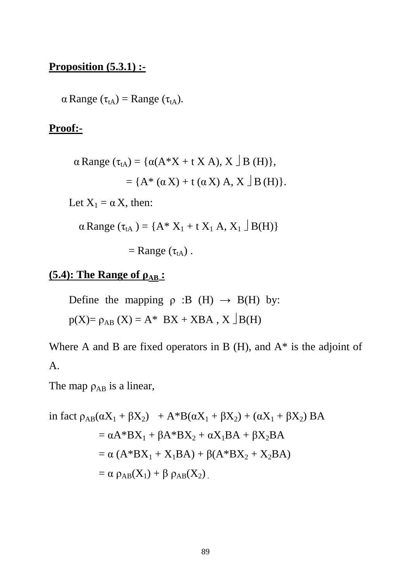# **Proposition (5.3.1) :-**

 $\alpha$  Range ( $\tau_{tA}$ ) = Range ( $\tau_{tA}$ ).

# **Proof:-**

$$
\alpha \text{ Range } (\tau_{tA}) = \{ \alpha(A * X + t X A), X \mid B(H) \},
$$

$$
= \{ A * (\alpha X) + t (\alpha X) A, X \mid B(H) \}.
$$
  
Let  $X_1 = \alpha X$ , then:

$$
\alpha Range (\tau_{tA}) = \{A^* X_1 + t X_1 A, X_1 \cup B(H)\}
$$

 $=$  Range  $(\tau_{tA})$ .

# **(5.4): The Range of**  $\rho_{AB}$  **:**

Define the mapping  $\rho : B(H) \rightarrow B(H)$  by:  $p(X)=\rho_{AB}(X)=A^*$  BX + XBA, X  $\Box B(H)$ 

Where A and B are fixed operators in B  $(H)$ , and  $A^*$  is the adjoint of A.

The map  $\rho_{AB}$  is a linear,

in fact 
$$
\rho_{AB}(\alpha X_1 + \beta X_2) + A^*B(\alpha X_1 + \beta X_2) + (\alpha X_1 + \beta X_2) BA
$$
  
\n
$$
= \alpha A^*BX_1 + \beta A^*BX_2 + \alpha X_1 BA + \beta X_2 BA
$$
\n
$$
= \alpha (A^*BX_1 + X_1 BA) + \beta (A^*BX_2 + X_2 BA)
$$
\n
$$
= \alpha \rho_{AB}(X_1) + \beta \rho_{AB}(X_2).
$$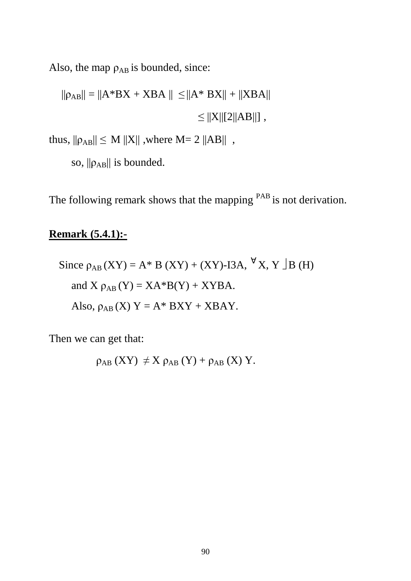Also, the map  $\rho_{AB}$  is bounded, since:

 $\label{eq:4.1} ||\rho_{AB}||=||A^*BX+XBA||\ \leq \nonumber \\ ||A^*BX||+||XBA||$  $\leq$   $||X||[2||AB||]$ ,

thus,  $\|\rho_{AB}\| \le M \|X\|$ , where M= 2  $\|AB\|$ ,

so,  $\|\rho_{AB}\|$  is bounded.

The following remark shows that the mapping <sup>PAB</sup> is not derivation.

# **Remark (5.4.1):-**

Since 
$$
\rho_{AB}(XY) = A * B (XY) + (XY) - I3A, \forall X, Y \rfloor B (H)
$$
  
and  $X \rho_{AB}(Y) = XA * B(Y) + XYBA$ .  
Also,  $\rho_{AB}(X) Y = A * BXY + XBAY$ .

Then we can get that:

$$
\rho_{AB}(XY) \neq X \rho_{AB}(Y) + \rho_{AB}(X) Y.
$$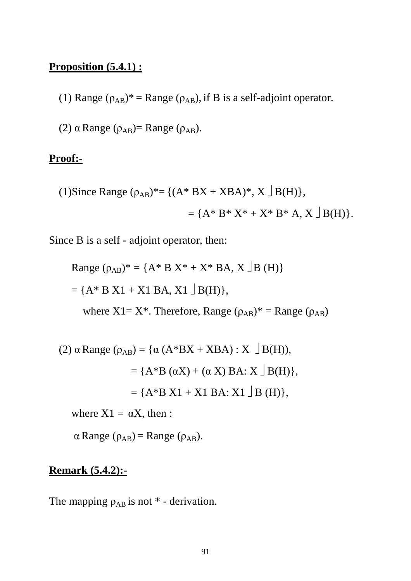# **Proposition (5.4.1) :**

(1) Range  $(\rho_{AB})^*$  = Range  $(\rho_{AB})$ , if B is a self-adjoint operator.

(2)  $\alpha$  Range ( $\rho_{AB}$ )= Range ( $\rho_{AB}$ ).

#### **Proof:-**

(1)Since Range 
$$
(\rho_{AB})^* = \{(A^* BX + XBA)^*, X \square B(H)\},
$$
  
=  $\{A^* B^* X^* + X^* B^* A, X \square B(H)\}.$ 

Since B is a self - adjoint operator, then:

Range 
$$
(\rho_{AB})^* = \{A^* B X^* + X^* BA, X \mid B(H)\}\
$$
  
=  $\{A^* B X1 + X1 BA, X1 \mid B(H)\},$   
where  $X1 = X^*$ . Therefore, Range  $(\rho_{AB})^* =$  Range  $(\rho_{AB})$ 

(2) 
$$
\alpha
$$
 Range ( $\rho_{AB}$ ) = { $\alpha$  (A\*BX + XBA) : X  $\Box$  B(H)),  
 = {A\*B ( $\alpha$ X) + ( $\alpha$  X) BA: X  $\Box$  B(H)},  
 = {A\*B X1 + X1 BA: X1  $\Box$  B (H)},

where  $X1 = \alpha X$ , then :

 $\alpha$  Range ( $\rho_{AB}$ ) = Range ( $\rho_{AB}$ ).

# **Remark (5.4.2):-**

The mapping  $\rho_{AB}$  is not  $*$  - derivation.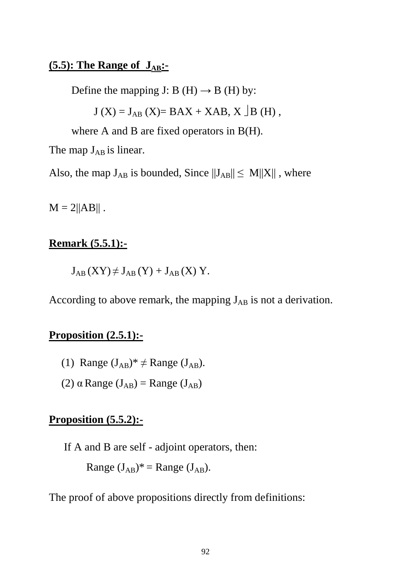# **(5.5): The Range of JAB:-**

Define the mapping J: B (H)  $\rightarrow$  B (H) by:

$$
J(X) = J_{AB}(X) = BAX + XAB, X \mid B(H)
$$
,

where A and B are fixed operators in B(H).

The map  $J_{AB}$  is linear.

Also, the map  $J_{AB}$  is bounded, Since  $||J_{AB}|| \le M||X||$ , where

 $M = 2||AB||$ .

#### **Remark (5.5.1):-**

 $J_{AB}$  (XY)  $\neq J_{AB}$  (Y) +  $J_{AB}$  (X) Y.

According to above remark, the mapping  $J_{AB}$  is not a derivation.

#### **Proposition (2.5.1):-**

- (1) Range  $(J_{AB})^* \neq$  Range  $(J_{AB})$ .
- (2)  $\alpha$  Range (J<sub>AB</sub>) = Range (J<sub>AB</sub>)

# **Proposition (5.5.2):-**

If A and B are self - adjoint operators, then:

Range  $(J_{AB})^*$  = Range  $(J_{AB})$ .

The proof of above propositions directly from definitions: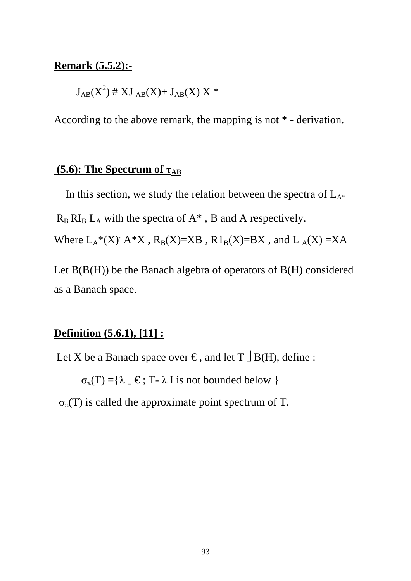#### **Remark (5.5.2):-**

 $\text{J}_{\text{AB}}(\text{X}^2)$  # XJ  $_{\text{AB}}(\text{X})$  +  $\text{J}_{\text{AB}}(\text{X})$  X \*

According to the above remark, the mapping is not \* - derivation.

# **(5.6): The Spectrum of τAB**

In this section, we study the relation between the spectra of  $L_{A^*}$ 

 $R_B$   $R_I$ <sub>B</sub>  $L_A$  with the spectra of  $A^*$ , B and A respectively.

Where  $L_A^*(X)$   $A^*X$ ,  $R_B(X)=XB$ ,  $R1_B(X)=BX$ , and  $L_A(X)=XA$ 

Let  $B(B(H))$  be the Banach algebra of operators of  $B(H)$  considered as a Banach space.

# **Definition (5.6.1), [11] :**

Let X be a Banach space over  $\epsilon$ , and let  $T \perp B(H)$ , define :

 $\sigma_{\pi}(T) = {\lambda \mid \xi : T - \lambda I \text{ is not bounded below }}$ 

 $\sigma_{\pi}(T)$  is called the approximate point spectrum of T.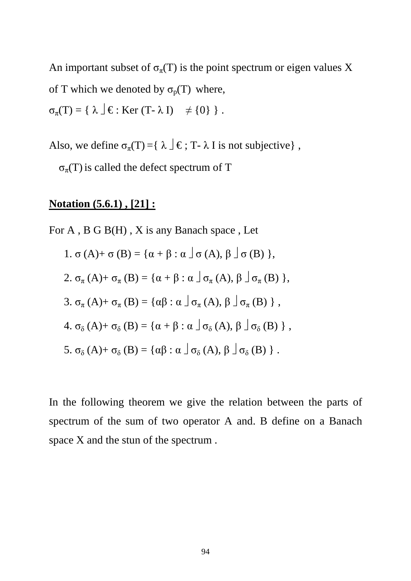An important subset of  $\sigma_{\pi}(T)$  is the point spectrum or eigen values X of T which we denoted by  $\sigma_p(T)$  where,

 $\sigma_{\pi}(T) = \{ \lambda \mid \mathcal{F} : \text{Ker } (T - \lambda I) \neq \{0\} \}$ .

Also, we define  $\sigma_{\pi}(T) = \{ \lambda \mid \xi : T - \lambda I \text{ is not subjective} \}$ ,

 $\sigma_{\pi}(T)$  is called the defect spectrum of T

# **Notation (5.6.1) , [21] :**

For A, B G B(H), X is any Banach space, Let

1. 
$$
\sigma(A) + \sigma(B) = {\alpha + \beta : \alpha \mid \sigma(A), \beta \mid \sigma(B)}
$$
,  
\n2.  $\sigma_{\pi}(A) + \sigma_{\pi}(B) = {\alpha + \beta : \alpha \mid \sigma_{\pi}(A), \beta \mid \sigma_{\pi}(B)}$ ,  
\n3.  $\sigma_{\pi}(A) + \sigma_{\pi}(B) = {\alpha\beta : \alpha \mid \sigma_{\pi}(A), \beta \mid \sigma_{\pi}(B)}$ ,  
\n4.  $\sigma_{\delta}(A) + \sigma_{\delta}(B) = {\alpha + \beta : \alpha \mid \sigma_{\delta}(A), \beta \mid \sigma_{\delta}(B)}$ ,  
\n5.  $\sigma_{\delta}(A) + \sigma_{\delta}(B) = {\alpha\beta : \alpha \mid \sigma_{\delta}(A), \beta \mid \sigma_{\delta}(B)}$ .

In the following theorem we give the relation between the parts of spectrum of the sum of two operator A and. B define on a Banach space X and the stun of the spectrum .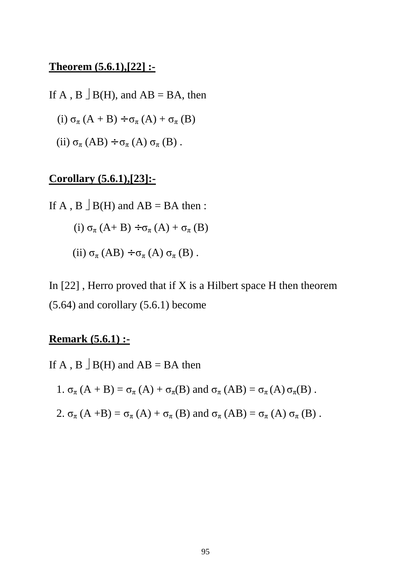#### **Theorem (5.6.1),[22] :-**

If A, B  $\exists$  B(H), and AB = BA, then

(i) 
$$
\sigma_{\pi}(A + B) \div \sigma_{\pi}(A) + \sigma_{\pi}(B)
$$

(ii)  $\sigma_{\pi}$  (AB) ÷  $\sigma_{\pi}$  (A)  $\sigma_{\pi}$  (B).

# **Corollary (5.6.1),[23]:-**

If A, B  $\exists$  B(H) and AB = BA then : (i)  $\sigma_{\pi}$  (A+ B) ÷  $\sigma_{\pi}$  (A) +  $\sigma_{\pi}$  (B) (ii)  $\sigma_{\pi}$  (AB) ÷  $\sigma_{\pi}$  (A)  $\sigma_{\pi}$  (B).

In  $[22]$ , Herro proved that if X is a Hilbert space H then theorem (5.64) and corollary (5.6.1) become

# **Remark (5.6.1) :-**

If A, B  $\exists$  B(H) and AB = BA then

1.  $\sigma_{\pi}$  (A + B) =  $\sigma_{\pi}$  (A) +  $\sigma_{\pi}$ (B) and  $\sigma_{\pi}$  (AB) =  $\sigma_{\pi}$  (A)  $\sigma_{\pi}$ (B).

2.  $\sigma_{\pi}$  (A +B) =  $\sigma_{\pi}$  (A) +  $\sigma_{\pi}$  (B) and  $\sigma_{\pi}$  (AB) =  $\sigma_{\pi}$  (A)  $\sigma_{\pi}$  (B).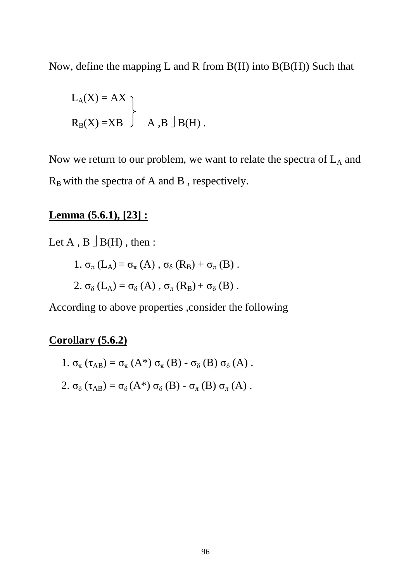Now, define the mapping L and R from  $B(H)$  into  $B(B(H))$  Such that

$$
L_A(X) = AX
$$
  
\n $R_B(X) = XB$   $\rightarrow$  A, B  $\rightarrow$  B(H).

Now we return to our problem, we want to relate the spectra of  $L_A$  and  $R_B$  with the spectra of A and B, respectively.

### **Lemma (5.6.1), [23] :**

Let  $A$ ,  $B \perp B(H)$ , then:

1. 
$$
\sigma_{\pi}
$$
 (L<sub>A</sub>) =  $\sigma_{\pi}$  (A),  $\sigma_{\delta}$  (R<sub>B</sub>) +  $\sigma_{\pi}$  (B).

2. 
$$
\sigma_{\delta}
$$
 (L<sub>A</sub>) =  $\sigma_{\delta}$  (A),  $\sigma_{\pi}$  (R<sub>B</sub>) +  $\sigma_{\delta}$  (B).

According to above properties ,consider the following

# **Corollary (5.6.2)**

- 1.  $\sigma_{\pi}(\tau_{AB}) = \sigma_{\pi}(A^*) \sigma_{\pi}(B) \sigma_{\delta}(B) \sigma_{\delta}(A)$ .
- 2.  $\sigma_{\delta}(\tau_{AB}) = \sigma_{\delta}(A^*) \sigma_{\delta}(B) \sigma_{\pi}(B) \sigma_{\pi}(A)$ .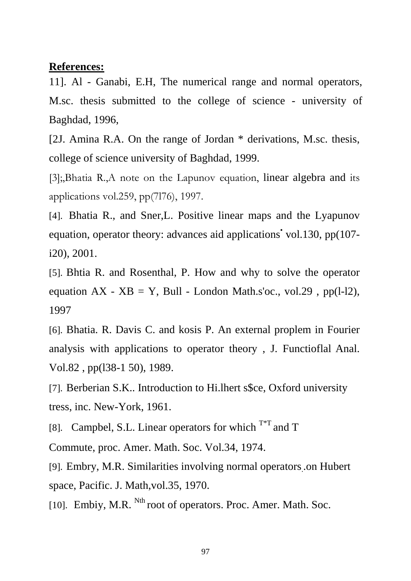#### **References:**

11]. Al - Ganabi, E.H, The numerical range and normal operators, M.sc. thesis submitted to the college of science - university of Baghdad, 1996,

[2J. Amina R.A. On the range of Jordan \* derivations, M.sc. thesis, college of science university of Baghdad, 1999.

[3];,Bhatia R.,A note on the Lapunov equation, linear algebra and its applications vol.259, pp(7l76), 1997.

[4]. Bhatia R., and Sner,L. Positive linear maps and the Lyapunov equation, operator theory: advances aid applications vol.130, pp(107i20), 2001.

[5]. Bhtia R. and Rosenthal, P. How and why to solve the operator equation  $AX - XB = Y$ , Bull - London Math.s'oc., vol.29, pp(1-12), 1997

[6]. Bhatia. R. Davis C. and kosis P. An external proplem in Fourier analysis with applications to operator theory , J. Functioflal Anal. Vol.82 , pp(l38-1 50), 1989.

[7]. Berberian S.K.. Introduction to Hi.lhert s\$ce, Oxford university tress, inc. New-York, 1961.

[8]. Campbel, S.L. Linear operators for which  $T^{*T}$  and T

Commute, proc. Amer. Math. Soc. Vol.34, 1974.

[9]. Embry, M.R. Similarities involving normal operators. .on Hubert space, Pacific. J. Math,vol.35, 1970.

[10]. Embiy, M.R. <sup>Nth</sup> root of operators. Proc. Amer. Math. Soc.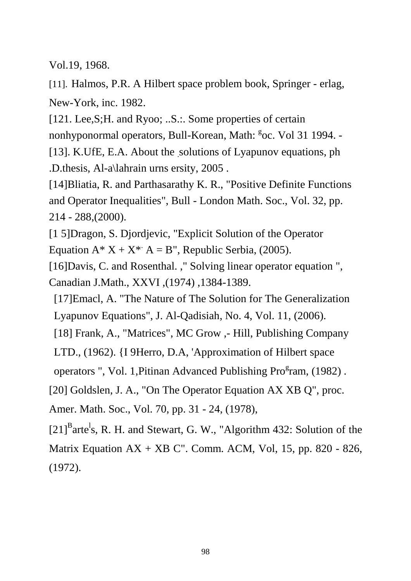Vol.19, 1968.

[11]. Halmos, P.R. A Hilbert space problem book, Springer - erlag, New-York, inc. 1982.

[121. Lee,S;H. and Ryoo; ..S.:. Some properties of certain nonhyponormal operators, Bull-Korean, Math: <sup>g</sup>oc. Vol 31 1994. -[13]. K.UfE, E.A. About the solutions of Lyapunov equations, ph

.D.thesis, Al-a\lahrain urns ersity, 2005 .

[14]Bliatia, R. and Parthasarathy K. R., "Positive Definite Functions and Operator Inequalities", Bull - London Math. Soc., Vol. 32, pp. 214 - 288,(2000).

[1 5]Dragon, S. Djordjevic, "Explicit Solution of the Operator Equation  $A^* X + X^* A = B''$ , Republic Serbia, (2005).

[16]Davis, C. and Rosenthal. ," Solving linear operator equation ", Canadian J.Math., XXVI ,(1974) ,1384-1389.

[17]Emacl, A. "The Nature of The Solution for The Generalization Lyapunov Equations", J. Al-Qadisiah, No. 4, Vol. 11, (2006).

[18] Frank, A., "Matrices", MC Grow ,- Hill, Publishing Company

LTD., (1962). {I 9Herro, D.A, 'Approximation of Hilbert space

operators ", Vol. 1, Pitinan Advanced Publishing Pro<sup>g</sup>ram, (1982).

[20] Goldslen, J. A., "On The Operator Equation AX XB Q", proc.

Amer. Math. Soc., Vol. 70, pp. 31 - 24, (1978),

 $[21]$ <sup>B</sup>arte<sup>1</sup>s, R. H. and Stewart, G. W., "Algorithm 432: Solution of the Matrix Equation  $AX + XB C$ ". Comm. ACM, Vol, 15, pp. 820 - 826, (1972).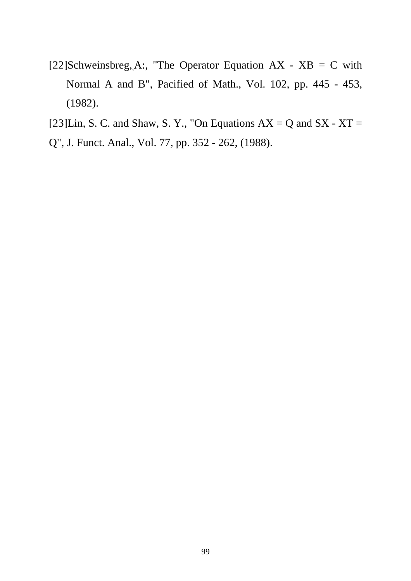- [22]Schweinsbreg, A:, "The Operator Equation AX  $XB = C$  with Normal A and B", Pacified of Math., Vol. 102, pp. 445 - 453, (1982).
- [23]Lin, S. C. and Shaw, S. Y., "On Equations  $AX = Q$  and  $SX XT =$
- Q", J. Funct. Anal., Vol. 77, pp. 352 262, (1988).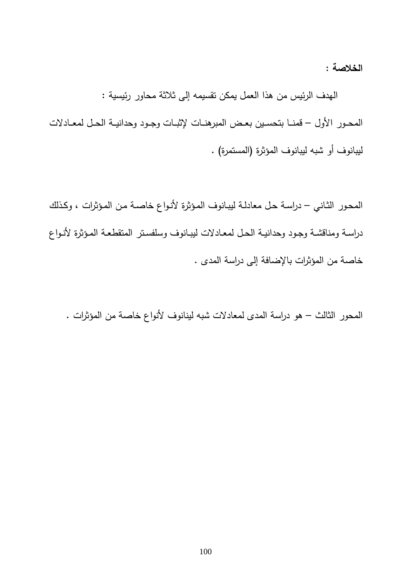**الخلاصة :**

 الهدف الرئيس من هذا العمل يمكن تقسيمه إلى ثلاثة محاور رئيسية : المحــور الأول – قمنــا بتحســين بعــض المبرهنــات لإثبــات وجــود وحدانيــة الحــل لمعــادلات ليبانوف أو شبه ليبانوف المؤثرة (المستمرة) .

المحـور الثـاني – دراسـة حـل معادلـة ليبـانوف المـؤثرة لأنـواع خاصـة مـن المـؤثرات ، وكـذلك دراســة ومناقشــة وجــود وحدانيــة الحــل لمعــادلات ليبــانوف وسلفســتر المتقطعــة المــؤثرة لأنــواع خاصة من المؤثرات بالإضافة إلى دراسة المدى .

المحور الثالث – هو دراسة المدى لمعادلات شبه لينانوف لأنواع خاصة من المؤثرات .